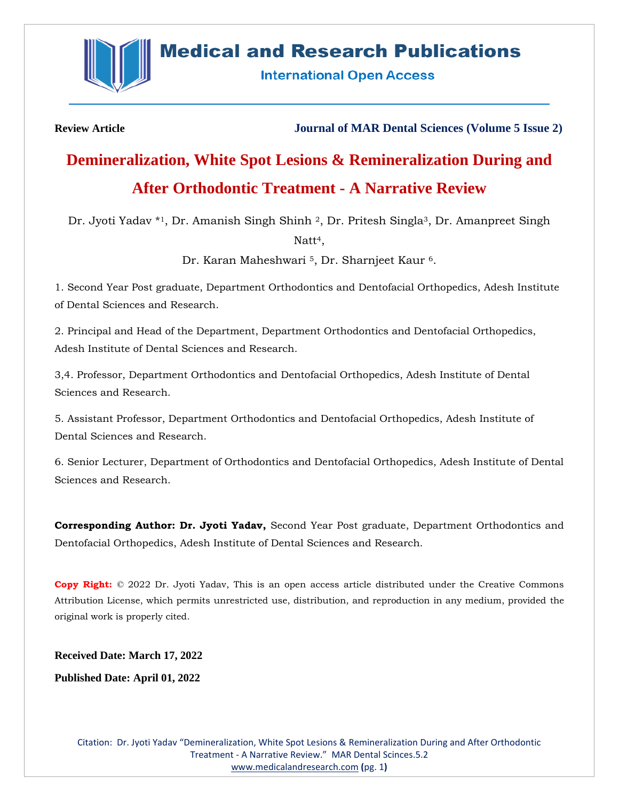

## **Medical and Research Publications**

**International Open Access** 

**Review Article Journal of MAR Dental Sciences (Volume 5 Issue 2)**

# **Demineralization, White Spot Lesions & Remineralization During and After Orthodontic Treatment - A Narrative Review**

Dr. Jyoti Yadav \*1, Dr. Amanish Singh Shinh 2, Dr. Pritesh Singla<sup>3</sup>, Dr. Amanpreet Singh

Natt<sup>4</sup>.

Dr. Karan Maheshwari <sup>5</sup>, Dr. Sharnjeet Kaur <sup>6</sup>.

1. Second Year Post graduate, Department Orthodontics and Dentofacial Orthopedics, Adesh Institute of Dental Sciences and Research.

2. Principal and Head of the Department, Department Orthodontics and Dentofacial Orthopedics, Adesh Institute of Dental Sciences and Research.

3,4. Professor, Department Orthodontics and Dentofacial Orthopedics, Adesh Institute of Dental Sciences and Research.

5. Assistant Professor, Department Orthodontics and Dentofacial Orthopedics, Adesh Institute of Dental Sciences and Research.

6. Senior Lecturer, Department of Orthodontics and Dentofacial Orthopedics, Adesh Institute of Dental Sciences and Research.

**Corresponding Author: Dr. Jyoti Yadav,** Second Year Post graduate, Department Orthodontics and Dentofacial Orthopedics, Adesh Institute of Dental Sciences and Research.

**Copy Right:** © 2022 Dr. Jyoti Yadav, This is an open access article distributed under the Creative Commons Attribution License, which permits unrestricted use, distribution, and reproduction in any medium, provided the original work is properly cited.

**Received Date: March 17, 2022**

**Published Date: April 01, 2022**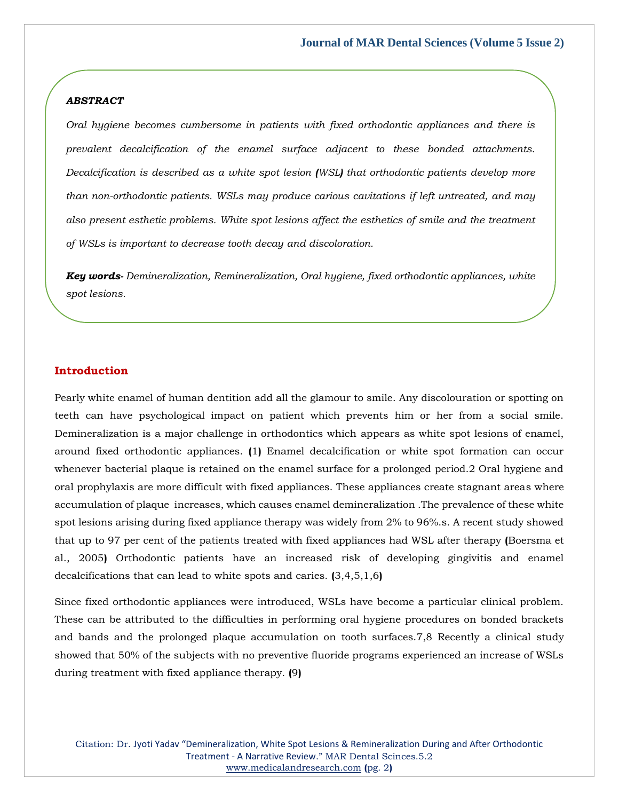## *ABSTRACT*

*Oral hygiene becomes cumbersome in patients with fixed orthodontic appliances and there is prevalent decalcification of the enamel surface adjacent to these bonded attachments. Decalcification is described as a white spot lesion (WSL) that orthodontic patients develop more than non-orthodontic patients. WSLs may produce carious cavitations if left untreated, and may also present esthetic problems. White spot lesions affect the esthetics of smile and the treatment of WSLs is important to decrease tooth decay and discoloration.*

*Key words- Demineralization, Remineralization, Oral hygiene, fixed orthodontic appliances, white spot lesions.*

## **Introduction**

Pearly white enamel of human dentition add all the glamour to smile. Any discolouration or spotting on teeth can have psychological impact on patient which prevents him or her from a social smile. Demineralization is a major challenge in orthodontics which appears as white spot lesions of enamel, around fixed orthodontic appliances. **(**1**)** Enamel decalcification or white spot formation can occur whenever bacterial plaque is retained on the enamel surface for a prolonged period.2 Oral hygiene and oral prophylaxis are more difficult with fixed appliances. These appliances create stagnant areas where accumulation of plaque increases, which causes enamel demineralization .The prevalence of these white spot lesions arising during fixed appliance therapy was widely from 2% to 96%.s. A recent study showed that up to 97 per cent of the patients treated with fixed appliances had WSL after therapy **(**Boersma et al., 2005**)** Orthodontic patients have an increased risk of developing gingivitis and enamel decalcifications that can lead to white spots and caries. **(**3,4,5,1,6**)**

Since fixed orthodontic appliances were introduced, WSLs have become a particular clinical problem. These can be attributed to the difficulties in performing oral hygiene procedures on bonded brackets and bands and the prolonged plaque accumulation on tooth surfaces.7,8 Recently a clinical study showed that 50% of the subjects with no preventive fluoride programs experienced an increase of WSLs during treatment with fixed appliance therapy. **(**9**)**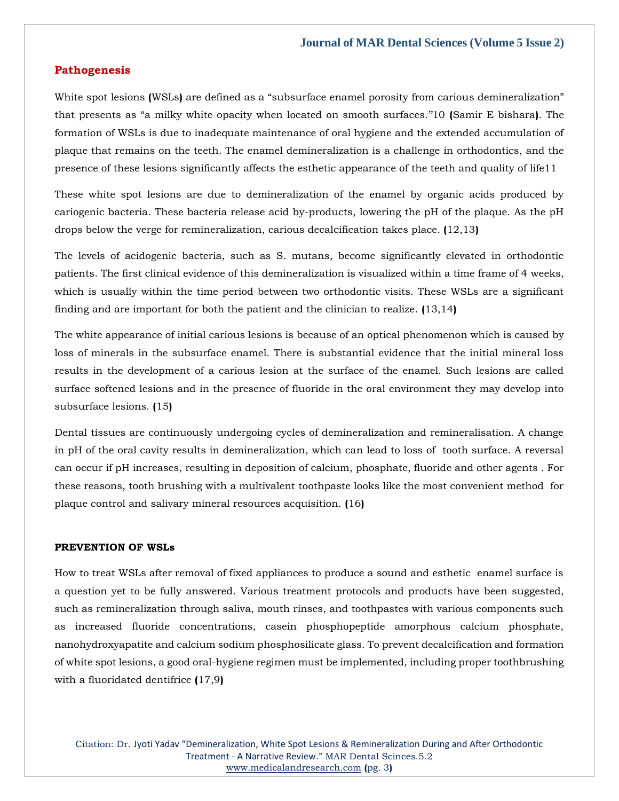## **Pathogenesis**

White spot lesions **(**WSLs**)** are defined as a "subsurface enamel porosity from carious demineralization" that presents as "a milky white opacity when located on smooth surfaces.''10 **(**Samir E bishara**)**. The formation of WSLs is due to inadequate maintenance of oral hygiene and the extended accumulation of plaque that remains on the teeth. The enamel demineralization is a challenge in orthodontics, and the presence of these lesions significantly affects the esthetic appearance of the teeth and quality of life11

These white spot lesions are due to demineralization of the enamel by organic acids produced by cariogenic bacteria. These bacteria release acid by-products, lowering the pH of the plaque. As the pH drops below the verge for remineralization, carious decalcification takes place. **(**12,13**)**

The levels of acidogenic bacteria, such as S. mutans, become significantly elevated in orthodontic patients. The first clinical evidence of this demineralization is visualized within a time frame of 4 weeks, which is usually within the time period between two orthodontic visits. These WSLs are a significant finding and are important for both the patient and the clinician to realize. **(**13,14**)**

The white appearance of initial carious lesions is because of an optical phenomenon which is caused by loss of minerals in the subsurface enamel. There is substantial evidence that the initial mineral loss results in the development of a carious lesion at the surface of the enamel. Such lesions are called surface softened lesions and in the presence of fluoride in the oral environment they may develop into subsurface lesions. **(**15**)**

Dental tissues are continuously undergoing cycles of demineralization and remineralisation. A change in pH of the oral cavity results in demineralization, which can lead to loss of tooth surface. A reversal can occur if pH increases, resulting in deposition of calcium, phosphate, fluoride and other agents . For these reasons, tooth brushing with a multivalent toothpaste looks like the most convenient method for plaque control and salivary mineral resources acquisition. **(**16**)**

#### **PREVENTION OF WSLs**

How to treat WSLs after removal of fixed appliances to produce a sound and esthetic enamel surface is a question yet to be fully answered. Various treatment protocols and products have been suggested, such as remineralization through saliva, mouth rinses, and toothpastes with various components such as increased fluoride concentrations, casein phosphopeptide amorphous calcium phosphate, nanohydroxyapatite and calcium sodium phosphosilicate glass. To prevent decalcification and formation of white spot lesions, a good oral-hygiene regimen must be implemented, including proper toothbrushing with a fluoridated dentifrice **(**17,9**)**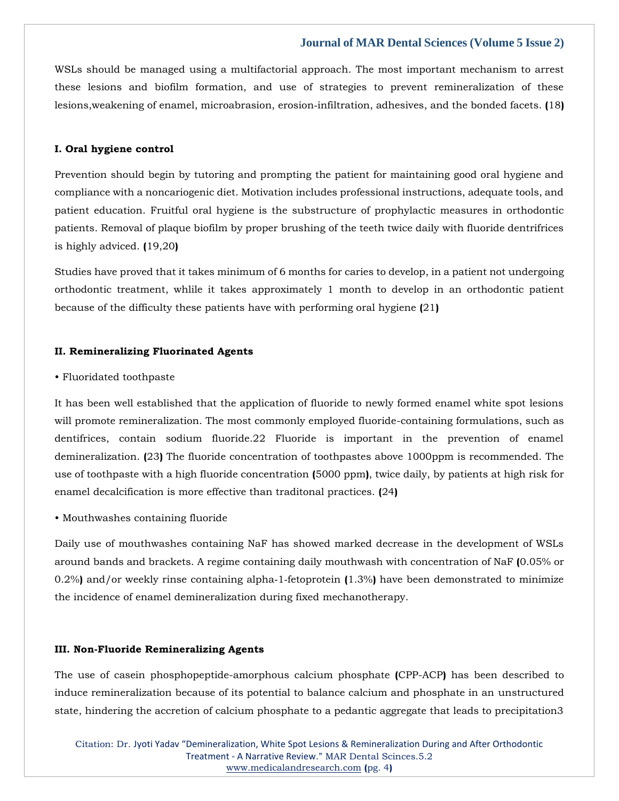WSLs should be managed using a multifactorial approach. The most important mechanism to arrest these lesions and biofilm formation, and use of strategies to prevent remineralization of these lesions,weakening of enamel, microabrasion, erosion‑infiltration, adhesives, and the bonded facets. **(**18**)**

## **I. Oral hygiene control**

Prevention should begin by tutoring and prompting the patient for maintaining good oral hygiene and compliance with a noncariogenic diet. Motivation includes professional instructions, adequate tools, and patient education. Fruitful oral hygiene is the substructure of prophylactic measures in orthodontic patients. Removal of plaque biofilm by proper brushing of the teeth twice daily with fluoride dentrifrices is highly adviced. **(**19,20**)**

Studies have proved that it takes minimum of 6 months for caries to develop, in a patient not undergoing orthodontic treatment, whlile it takes approximately 1 month to develop in an orthodontic patient because of the difficulty these patients have with performing oral hygiene **(**21**)**

#### **II. Remineralizing Fluorinated Agents**

## • Fluoridated toothpaste

It has been well established that the application of fluoride to newly formed enamel white spot lesions will promote remineralization. The most commonly employed fluoride-containing formulations, such as dentifrices, contain sodium fluoride.22 Fluoride is important in the prevention of enamel demineralization. **(**23**)** The fluoride concentration of toothpastes above 1000ppm is recommended. The use of toothpaste with a high fluoride concentration **(**5000 ppm**)**, twice daily, by patients at high risk for enamel decalcification is more effective than traditonal practices. **(**24**)**

#### • Mouthwashes containing fluoride

Daily use of mouthwashes containing NaF has showed marked decrease in the development of WSLs around bands and brackets. A regime containing daily mouthwash with concentration of NaF **(**0.05% or 0.2%**)** and/or weekly rinse containing alpha‑1‑fetoprotein **(**1.3%**)** have been demonstrated to minimize the incidence of enamel demineralization during fixed mechanotherapy.

#### **III. Non-Fluoride Remineralizing Agents**

The use of casein phosphopeptide-amorphous calcium phosphate **(**CPP-ACP**)** has been described to induce remineralization because of its potential to balance calcium and phosphate in an unstructured state, hindering the accretion of calcium phosphate to a pedantic aggregate that leads to precipitation3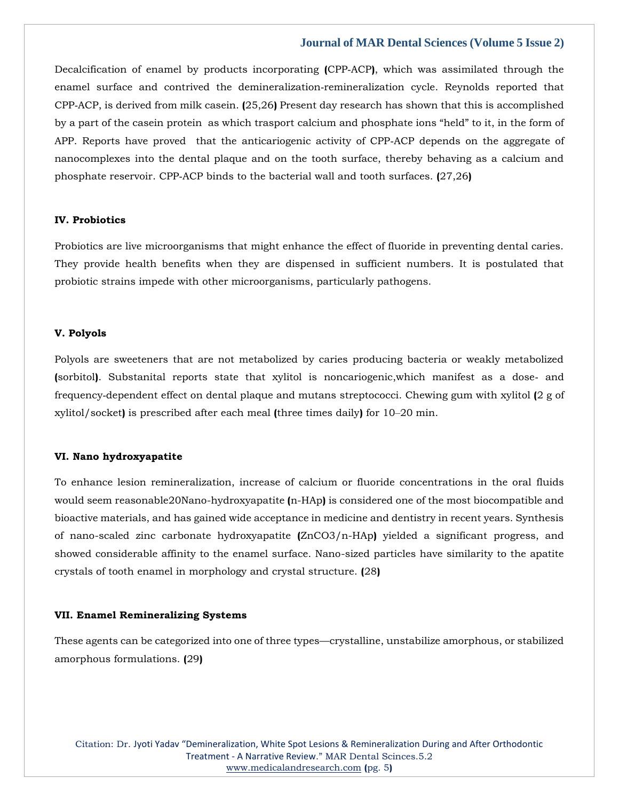Decalcification of enamel by products incorporating **(**CPP‑ACP**)**, which was assimilated through the enamel surface and contrived the demineralization‑remineralization cycle. Reynolds reported that CPP‑ACP, is derived from milk casein. **(**25,26**)** Present day research has shown that this is accomplished by a part of the casein protein as which trasport calcium and phosphate ions "held" to it, in the form of APP. Reports have proved that the anticariogenic activity of CPP–ACP depends on the aggregate of nanocomplexes into the dental plaque and on the tooth surface, thereby behaving as a calcium and phosphate reservoir. CPP‑ACP binds to the bacterial wall and tooth surfaces. **(**27,26**)**

## **IV. Probiotics**

Probiotics are live microorganisms that might enhance the effect of fluoride in preventing dental caries. They provide health benefits when they are dispensed in sufficient numbers. It is postulated that probiotic strains impede with other microorganisms, particularly pathogens.

#### **V. Polyols**

Polyols are sweeteners that are not metabolized by caries producing bacteria or weakly metabolized **(**sorbitol**)**. Substanital reports state that xylitol is noncariogenic,which manifest as a dose‑ and frequency‑dependent effect on dental plaque and mutans streptococci. Chewing gum with xylitol **(**2 g of xylitol/socket**)** is prescribed after each meal **(**three times daily**)** for 10‒20 min.

## **VI. Nano hydroxyapatite**

To enhance lesion remineralization, increase of calcium or fluoride concentrations in the oral fluids would seem reasonable20Nano-hydroxyapatite **(**n-HAp**)** is considered one of the most biocompatible and bioactive materials, and has gained wide acceptance in medicine and dentistry in recent years. Synthesis of nano-scaled zinc carbonate hydroxyapatite **(**ZnCO3/n-HAp**)** yielded a significant progress, and showed considerable affinity to the enamel surface. Nano-sized particles have similarity to the apatite crystals of tooth enamel in morphology and crystal structure. **(**28**)**

## **VII. Enamel Remineralizing Systems**

These agents can be categorized into one of three types—crystalline, unstabilize amorphous, or stabilized amorphous formulations. **(**29**)**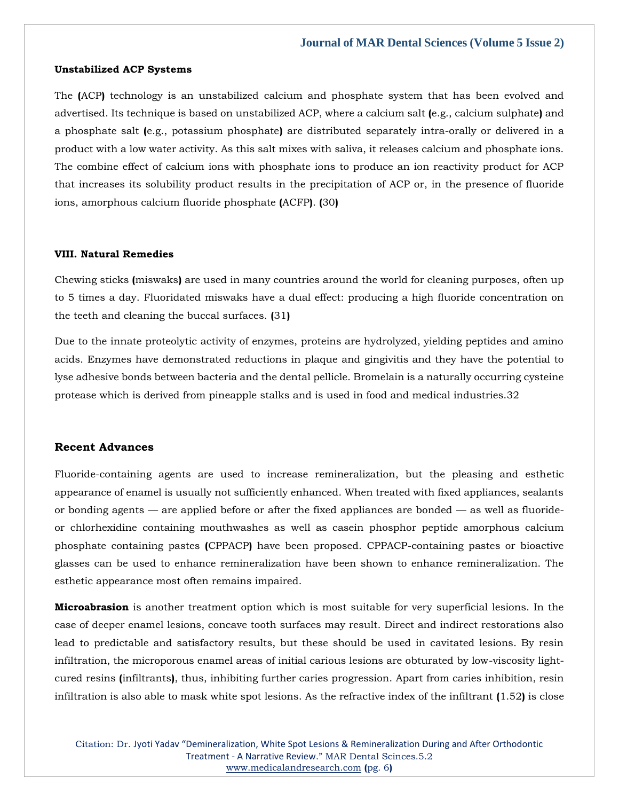#### **Unstabilized ACP Systems**

The **(**ACP**)** technology is an unstabilized calcium and phosphate system that has been evolved and advertised. Its technique is based on unstabilized ACP, where a calcium salt **(**e.g., calcium sulphate**)** and a phosphate salt **(**e.g., potassium phosphate**)** are distributed separately intra-orally or delivered in a product with a low water activity. As this salt mixes with saliva, it releases calcium and phosphate ions. The combine effect of calcium ions with phosphate ions to produce an ion reactivity product for ACP that increases its solubility product results in the precipitation of ACP or, in the presence of fluoride ions, amorphous calcium fluoride phosphate **(**ACFP**)**. **(**30**)**

#### **VIII. Natural Remedies**

Chewing sticks **(**miswaks**)** are used in many countries around the world for cleaning purposes, often up to 5 times a day. Fluoridated miswaks have a dual effect: producing a high fluoride concentration on the teeth and cleaning the buccal surfaces. **(**31**)**

Due to the innate proteolytic activity of enzymes, proteins are hydrolyzed, yielding peptides and amino acids. Enzymes have demonstrated reductions in plaque and gingivitis and they have the potential to lyse adhesive bonds between bacteria and the dental pellicle. Bromelain is a naturally occurring cysteine protease which is derived from pineapple stalks and is used in food and medical industries.32

#### **Recent Advances**

Fluoride-containing agents are used to increase remineralization, but the pleasing and esthetic appearance of enamel is usually not sufficiently enhanced. When treated with fixed appliances, sealants or bonding agents — are applied before or after the fixed appliances are bonded — as well as fluorideor chlorhexidine containing mouthwashes as well as casein phosphor peptide amorphous calcium phosphate containing pastes **(**CPPACP**)** have been proposed. CPPACP-containing pastes or bioactive glasses can be used to enhance remineralization have been shown to enhance remineralization. The esthetic appearance most often remains impaired.

**Microabrasion** is another treatment option which is most suitable for very superficial lesions. In the case of deeper enamel lesions, concave tooth surfaces may result. Direct and indirect restorations also lead to predictable and satisfactory results, but these should be used in cavitated lesions. By resin infiltration, the microporous enamel areas of initial carious lesions are obturated by low-viscosity lightcured resins **(**infiltrants**)**, thus, inhibiting further caries progression. Apart from caries inhibition, resin infiltration is also able to mask white spot lesions. As the refractive index of the infiltrant **(**1.52**)** is close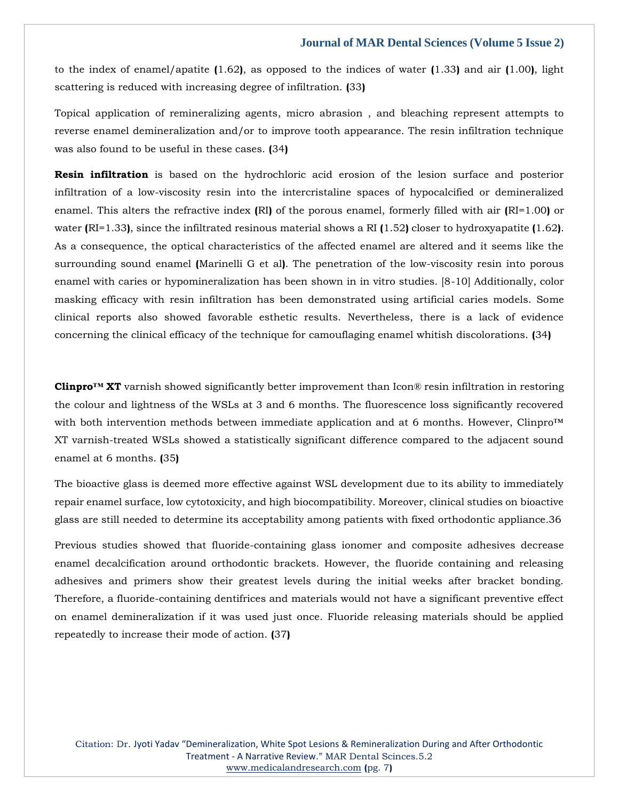to the index of enamel/apatite **(**1.62**)**, as opposed to the indices of water **(**1.33**)** and air **(**1.00**)**, light scattering is reduced with increasing degree of infiltration. **(**33**)**

Topical application of remineralizing agents, micro abrasion , and bleaching represent attempts to reverse enamel demineralization and/or to improve tooth appearance. The resin infiltration technique was also found to be useful in these cases. **(**34**)**

**Resin infiltration** is based on the hydrochloric acid erosion of the lesion surface and posterior infiltration of a low-viscosity resin into the intercristaline spaces of hypocalcified or demineralized enamel. This alters the refractive index **(**RI**)** of the porous enamel, formerly filled with air **(**RI=1.00**)** or water **(**RI=1.33**)**, since the infiltrated resinous material shows a RI **(**1.52**)** closer to hydroxyapatite **(**1.62**)**. As a consequence, the optical characteristics of the affected enamel are altered and it seems like the surrounding sound enamel **(**Marinelli G et al**)**. The penetration of the low-viscosity resin into porous enamel with caries or hypomineralization has been shown in in vitro studies. [8-10] Additionally, color masking efficacy with resin infiltration has been demonstrated using artificial caries models. Some clinical reports also showed favorable esthetic results. Nevertheless, there is a lack of evidence concerning the clinical efficacy of the technique for camouflaging enamel whitish discolorations. **(**34**)**

**Clinpro™ XT** varnish showed significantly better improvement than Icon® resin infiltration in restoring the colour and lightness of the WSLs at 3 and 6 months. The fluorescence loss significantly recovered with both intervention methods between immediate application and at 6 months. However, Clinpro™ XT varnish-treated WSLs showed a statistically significant difference compared to the adjacent sound enamel at 6 months. **(**35**)**

The bioactive glass is deemed more effective against WSL development due to its ability to immediately repair enamel surface, low cytotoxicity, and high biocompatibility. Moreover, clinical studies on bioactive glass are still needed to determine its acceptability among patients with fixed orthodontic appliance.36

Previous studies showed that fluoride-containing glass ionomer and composite adhesives decrease enamel decalcification around orthodontic brackets. However, the fluoride containing and releasing adhesives and primers show their greatest levels during the initial weeks after bracket bonding. Therefore, a fluoride-containing dentifrices and materials would not have a significant preventive effect on enamel demineralization if it was used just once. Fluoride releasing materials should be applied repeatedly to increase their mode of action. **(**37**)**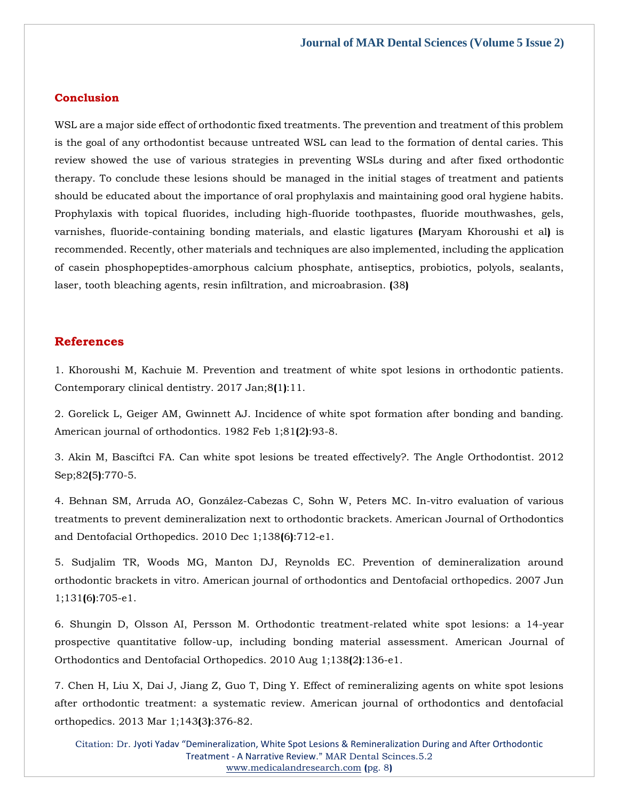## **Conclusion**

WSL are a major side effect of orthodontic fixed treatments. The prevention and treatment of this problem is the goal of any orthodontist because untreated WSL can lead to the formation of dental caries. This review showed the use of various strategies in preventing WSLs during and after fixed orthodontic therapy. To conclude these lesions should be managed in the initial stages of treatment and patients should be educated about the importance of oral prophylaxis and maintaining good oral hygiene habits. Prophylaxis with topical fluorides, including high-fluoride toothpastes, fluoride mouthwashes, gels, varnishes, fluoride-containing bonding materials, and elastic ligatures **(**Maryam Khoroushi et al**)** is recommended. Recently, other materials and techniques are also implemented, including the application of casein phosphopeptides-amorphous calcium phosphate, antiseptics, probiotics, polyols, sealants, laser, tooth bleaching agents, resin infiltration, and microabrasion. **(**38**)**

## **References**

[1. Khoroushi M, Kachuie M. Prevention and treatment of white spot lesions in orthodontic patients.](https://www.google.com/search?q=Prevention+and+treatment+of+white+spot+lesions+in+orthodontic+patients&hl=en&sxsrf=APq-WBsoj3RQxY3NeqnLwhluxOluRDXadA%3A1647842041814&ei=-RI4YqCwMaLtz7sPgJuNYA&ved=0ahUKEwjgkLH8wdb2AhWi9nMBHYBNAwwQ4dUDCA4&oq=Prevention+and+treatment+of+white+spot+lesions+in+orthodontic+patients&gs_lcp=Cgdnd3Mtd2l6EAwyBQgAEIAEOgcIIxDqAhAnSgQIQRgASgQIRhgAUDxYPGD0CGgBcAB4AIABpgGIAaYBkgEDMC4xmAEAoAEBoAECsAEKwAEB&sclient=gws-wiz)  [Contemporary clinical dentistry. 2017 Jan;8](https://www.google.com/search?q=Prevention+and+treatment+of+white+spot+lesions+in+orthodontic+patients&hl=en&sxsrf=APq-WBsoj3RQxY3NeqnLwhluxOluRDXadA%3A1647842041814&ei=-RI4YqCwMaLtz7sPgJuNYA&ved=0ahUKEwjgkLH8wdb2AhWi9nMBHYBNAwwQ4dUDCA4&oq=Prevention+and+treatment+of+white+spot+lesions+in+orthodontic+patients&gs_lcp=Cgdnd3Mtd2l6EAwyBQgAEIAEOgcIIxDqAhAnSgQIQRgASgQIRhgAUDxYPGD0CGgBcAB4AIABpgGIAaYBkgEDMC4xmAEAoAEBoAECsAEKwAEB&sclient=gws-wiz)**(**1**)**:11.

[2. Gorelick L, Geiger AM, Gwinnett AJ. Incidence of white spot formation after bonding and banding.](https://www.google.com/search?q=Incidence+of+white+spot+formation+after+bonding+and+banding.+&hl=en&sxsrf=APq-WBusuWZi9FvSsAxxiYVhotyabGQ7pg%3A1647842027723&ei=6xI4YqjlK9Lez7sPgIycsAQ&ved=0ahUKEwjohtX1wdb2AhVS73MBHQAGB0YQ4dUDCA4&oq=Incidence+of+white+spot+formation+after+bonding+and+banding.+&gs_lcp=Cgdnd3Mtd2l6EAwyBggAEBYQHjoHCCMQ6gIQJ0oECEEYAEoECEYYAFAhWCFg9ARoAXABeACAAbEBiAGxAZIBAzAuMZgBAKABAaABArABCsABAQ&sclient=gws-wiz)  [American journal of orthodontics. 1982 Feb 1;81](https://www.google.com/search?q=Incidence+of+white+spot+formation+after+bonding+and+banding.+&hl=en&sxsrf=APq-WBusuWZi9FvSsAxxiYVhotyabGQ7pg%3A1647842027723&ei=6xI4YqjlK9Lez7sPgIycsAQ&ved=0ahUKEwjohtX1wdb2AhVS73MBHQAGB0YQ4dUDCA4&oq=Incidence+of+white+spot+formation+after+bonding+and+banding.+&gs_lcp=Cgdnd3Mtd2l6EAwyBggAEBYQHjoHCCMQ6gIQJ0oECEEYAEoECEYYAFAhWCFg9ARoAXABeACAAbEBiAGxAZIBAzAuMZgBAKABAaABArABCsABAQ&sclient=gws-wiz)**(**2**)**:93-8.

[3. Akin M, Basciftci FA. Can white spot lesions be treated effectively?. The Angle Orthodontist. 2012](https://www.google.com/search?q=Can+white+spot+lesions+be+treated+effectively%3F.+&hl=en&sxsrf=APq-WBsTAhHQZUx7osfN5zPL7jPgyJkYCw%3A1647842014469&ei=3hI4YuOoHPXbz7sPrrW08Ac&ved=0ahUKEwjjj6zvwdb2AhX17XMBHa4aDX4Q4dUDCA4&oq=Can+white+spot+lesions+be+treated+effectively%3F.+&gs_lcp=Cgdnd3Mtd2l6EAwyBggAEBYQHjoHCCMQ6gIQJ0oECEEYAEoECEYYAFD2AVj2AWD5CWgBcAB4AIABngGIAZ4BkgEDMC4xmAEAoAEBoAECsAEKwAEB&sclient=gws-wiz)  Sep;82**(**5**)**[:770-5.](https://www.google.com/search?q=Can+white+spot+lesions+be+treated+effectively%3F.+&hl=en&sxsrf=APq-WBsTAhHQZUx7osfN5zPL7jPgyJkYCw%3A1647842014469&ei=3hI4YuOoHPXbz7sPrrW08Ac&ved=0ahUKEwjjj6zvwdb2AhX17XMBHa4aDX4Q4dUDCA4&oq=Can+white+spot+lesions+be+treated+effectively%3F.+&gs_lcp=Cgdnd3Mtd2l6EAwyBggAEBYQHjoHCCMQ6gIQJ0oECEEYAEoECEYYAFD2AVj2AWD5CWgBcAB4AIABngGIAZ4BkgEDMC4xmAEAoAEBoAECsAEKwAEB&sclient=gws-wiz)

[4. Behnan SM, Arruda AO, González-Cabezas C, Sohn W, Peters MC. In-vitro evaluation of various](https://www.google.com/search?q=In-vitro+evaluation+of+various+treatments+to+prevent+demineralization+next+to+orthodontic+brackets.+&hl=en&sxsrf=APq-WBv5FjLi0yFtmGgY6dfEA_42X0kogA%3A1647842001978&ei=0RI4YpGsO8O38QPq_7yoDA&ved=0ahUKEwjR2LHpwdb2AhXDW3wKHeo_D8UQ4dUDCA4&oq=In-vitro+evaluation+of+various+treatments+to+prevent+demineralization+next+to+orthodontic+brackets.+&gs_lcp=Cgdnd3Mtd2l6EAw6BwgjEOoCECdKBAhBGABKBAhGGABQmgFYmgFgugloAXAAeACAAbgBiAG4AZIBAzAuMZgBAKABAaABArABCsABAQ&sclient=gws-wiz)  [treatments to prevent demineralization next to orthodontic brackets. American Journal of Orthodontics](https://www.google.com/search?q=In-vitro+evaluation+of+various+treatments+to+prevent+demineralization+next+to+orthodontic+brackets.+&hl=en&sxsrf=APq-WBv5FjLi0yFtmGgY6dfEA_42X0kogA%3A1647842001978&ei=0RI4YpGsO8O38QPq_7yoDA&ved=0ahUKEwjR2LHpwdb2AhXDW3wKHeo_D8UQ4dUDCA4&oq=In-vitro+evaluation+of+various+treatments+to+prevent+demineralization+next+to+orthodontic+brackets.+&gs_lcp=Cgdnd3Mtd2l6EAw6BwgjEOoCECdKBAhBGABKBAhGGABQmgFYmgFgugloAXAAeACAAbgBiAG4AZIBAzAuMZgBAKABAaABArABCsABAQ&sclient=gws-wiz)  [and Dentofacial Orthopedics. 2010 Dec 1;138](https://www.google.com/search?q=In-vitro+evaluation+of+various+treatments+to+prevent+demineralization+next+to+orthodontic+brackets.+&hl=en&sxsrf=APq-WBv5FjLi0yFtmGgY6dfEA_42X0kogA%3A1647842001978&ei=0RI4YpGsO8O38QPq_7yoDA&ved=0ahUKEwjR2LHpwdb2AhXDW3wKHeo_D8UQ4dUDCA4&oq=In-vitro+evaluation+of+various+treatments+to+prevent+demineralization+next+to+orthodontic+brackets.+&gs_lcp=Cgdnd3Mtd2l6EAw6BwgjEOoCECdKBAhBGABKBAhGGABQmgFYmgFgugloAXAAeACAAbgBiAG4AZIBAzAuMZgBAKABAaABArABCsABAQ&sclient=gws-wiz)**(**6**)**:712-e1.

[5. Sudjalim TR, Woods MG, Manton DJ, Reynolds EC. Prevention of demineralization around](https://www.google.com/search?q=Prevention+of+demineralization+around+orthodontic+brackets+in+vitro&hl=en&sxsrf=APq-WBsK3FfBe-g4rWa_0VGcjasf7rniHw%3A1647841987520&ei=wxI4Yo64H9viz7sP4cuP8Ac&ved=0ahUKEwjOpb_iwdb2AhVb8XMBHeHlA34Q4dUDCA4&oq=Prevention+of+demineralization+around+orthodontic+brackets+in+vitro&gs_lcp=Cgdnd3Mtd2l6EAw6BwgjEOoCECdKBAhBGABKBAhGGABQaFhoYIQGaAFwAHgAgAGsAYgBrAGSAQMwLjGYAQCgAQGgAQKwAQrAAQE&sclient=gws-wiz)  orthodontic brackets in [vitro. American journal of orthodontics and Dentofacial orthopedics. 2007 Jun](https://www.google.com/search?q=Prevention+of+demineralization+around+orthodontic+brackets+in+vitro&hl=en&sxsrf=APq-WBsK3FfBe-g4rWa_0VGcjasf7rniHw%3A1647841987520&ei=wxI4Yo64H9viz7sP4cuP8Ac&ved=0ahUKEwjOpb_iwdb2AhVb8XMBHeHlA34Q4dUDCA4&oq=Prevention+of+demineralization+around+orthodontic+brackets+in+vitro&gs_lcp=Cgdnd3Mtd2l6EAw6BwgjEOoCECdKBAhBGABKBAhGGABQaFhoYIQGaAFwAHgAgAGsAYgBrAGSAQMwLjGYAQCgAQGgAQKwAQrAAQE&sclient=gws-wiz)  1;131**(**6**)**[:705-e1.](https://www.google.com/search?q=Prevention+of+demineralization+around+orthodontic+brackets+in+vitro&hl=en&sxsrf=APq-WBsK3FfBe-g4rWa_0VGcjasf7rniHw%3A1647841987520&ei=wxI4Yo64H9viz7sP4cuP8Ac&ved=0ahUKEwjOpb_iwdb2AhVb8XMBHeHlA34Q4dUDCA4&oq=Prevention+of+demineralization+around+orthodontic+brackets+in+vitro&gs_lcp=Cgdnd3Mtd2l6EAw6BwgjEOoCECdKBAhBGABKBAhGGABQaFhoYIQGaAFwAHgAgAGsAYgBrAGSAQMwLjGYAQCgAQGgAQKwAQrAAQE&sclient=gws-wiz)

[6. Shungin D, Olsson AI, Persson M. Orthodontic treatment-related white spot lesions: a 14-year](https://www.google.com/search?q=Orthodontic+treatment-related+white+spot+lesions%3A+a+14-year+prospective+quantitative+follow-up%2C+including+bonding+material+assessment.+&hl=en&sxsrf=APq-WBsCjAgCZwXMU3iiq75XVwZbBU97Ww%3A1647841970564&ei=shI4YpyGIuXhz7sPro2R2AU&ved=0ahUKEwicp7Tawdb2AhXl8HMBHa5GBFsQ4dUDCA4&oq=Orthodontic+treatment-related+white+spot+lesions%3A+a+14-year+prospective+quantitative+follow-up%2C+including+bonding+material+assessment.+&gs_lcp=Cgdnd3Mtd2l6EAwyBwgjEOoCECcyBwgjEOoCECcyBwgjEOoCECcyBwgjEOoCECcyBwgjEOoCECcyBwgjEOoCECcyBwgjEOoCECcyBwgjEOoCECcyBwgjEOoCECcyBwgjEOoCECdKBAhBGABKBAhGGABQpQFYpQFg1wpoAXAAeACAAQCIAQCSAQCYAQCgAQGgAQKwAQrAAQE&sclient=gws-wiz)  [prospective quantitative follow-up, including bonding material assessment. American Journal of](https://www.google.com/search?q=Orthodontic+treatment-related+white+spot+lesions%3A+a+14-year+prospective+quantitative+follow-up%2C+including+bonding+material+assessment.+&hl=en&sxsrf=APq-WBsCjAgCZwXMU3iiq75XVwZbBU97Ww%3A1647841970564&ei=shI4YpyGIuXhz7sPro2R2AU&ved=0ahUKEwicp7Tawdb2AhXl8HMBHa5GBFsQ4dUDCA4&oq=Orthodontic+treatment-related+white+spot+lesions%3A+a+14-year+prospective+quantitative+follow-up%2C+including+bonding+material+assessment.+&gs_lcp=Cgdnd3Mtd2l6EAwyBwgjEOoCECcyBwgjEOoCECcyBwgjEOoCECcyBwgjEOoCECcyBwgjEOoCECcyBwgjEOoCECcyBwgjEOoCECcyBwgjEOoCECcyBwgjEOoCECcyBwgjEOoCECdKBAhBGABKBAhGGABQpQFYpQFg1wpoAXAAeACAAQCIAQCSAQCYAQCgAQGgAQKwAQrAAQE&sclient=gws-wiz)  [Orthodontics and Dentofacial Orthopedics. 2010 Aug 1;138](https://www.google.com/search?q=Orthodontic+treatment-related+white+spot+lesions%3A+a+14-year+prospective+quantitative+follow-up%2C+including+bonding+material+assessment.+&hl=en&sxsrf=APq-WBsCjAgCZwXMU3iiq75XVwZbBU97Ww%3A1647841970564&ei=shI4YpyGIuXhz7sPro2R2AU&ved=0ahUKEwicp7Tawdb2AhXl8HMBHa5GBFsQ4dUDCA4&oq=Orthodontic+treatment-related+white+spot+lesions%3A+a+14-year+prospective+quantitative+follow-up%2C+including+bonding+material+assessment.+&gs_lcp=Cgdnd3Mtd2l6EAwyBwgjEOoCECcyBwgjEOoCECcyBwgjEOoCECcyBwgjEOoCECcyBwgjEOoCECcyBwgjEOoCECcyBwgjEOoCECcyBwgjEOoCECcyBwgjEOoCECcyBwgjEOoCECdKBAhBGABKBAhGGABQpQFYpQFg1wpoAXAAeACAAQCIAQCSAQCYAQCgAQGgAQKwAQrAAQE&sclient=gws-wiz)**(**2**)**:136-e1.

[7. Chen H, Liu X, Dai J, Jiang Z, Guo T, Ding Y. Effect of remineralizing agents on white spot lesions](https://www.google.com/search?q=Effect+of+remineralizing+agents+on+white+spot+lesions+after+orthodontic+treatment%3A+a+systematic+review&hl=en&sxsrf=APq-WBttn15Q-tazwnZk3FrGuq8jZAd4Kw%3A1647841956080&ei=pBI4YuPCBP3Cz7sPz9yX0Ak&ved=0ahUKEwjjpMDTwdb2AhV94XMBHU_uBZoQ4dUDCA4&oq=Effect+of+remineralizing+agents+on+white+spot+lesions+after+orthodontic+treatment%3A+a+systematic+review&gs_lcp=Cgdnd3Mtd2l6EAwyBwgjEOoCECcyBwgjEOoCECcyBwgjEOoCECcyBwgjEOoCECcyBwgjEOoCECcyBwgjEOoCECcyBwgjEOoCECcyBwgjEOoCECcyBwgjEOoCECcyBwgjEOoCECdKBAhBGABKBAhGGABQggFYggFgtQloAXAAeACAAQCIAQCSAQCYAQCgAQGgAQKwAQrAAQE&sclient=gws-wiz)  [after orthodontic treatment: a systematic review. American journal of orthodontics and dentofacial](https://www.google.com/search?q=Effect+of+remineralizing+agents+on+white+spot+lesions+after+orthodontic+treatment%3A+a+systematic+review&hl=en&sxsrf=APq-WBttn15Q-tazwnZk3FrGuq8jZAd4Kw%3A1647841956080&ei=pBI4YuPCBP3Cz7sPz9yX0Ak&ved=0ahUKEwjjpMDTwdb2AhV94XMBHU_uBZoQ4dUDCA4&oq=Effect+of+remineralizing+agents+on+white+spot+lesions+after+orthodontic+treatment%3A+a+systematic+review&gs_lcp=Cgdnd3Mtd2l6EAwyBwgjEOoCECcyBwgjEOoCECcyBwgjEOoCECcyBwgjEOoCECcyBwgjEOoCECcyBwgjEOoCECcyBwgjEOoCECcyBwgjEOoCECcyBwgjEOoCECcyBwgjEOoCECdKBAhBGABKBAhGGABQggFYggFgtQloAXAAeACAAQCIAQCSAQCYAQCgAQGgAQKwAQrAAQE&sclient=gws-wiz)  [orthopedics. 2013 Mar 1;143](https://www.google.com/search?q=Effect+of+remineralizing+agents+on+white+spot+lesions+after+orthodontic+treatment%3A+a+systematic+review&hl=en&sxsrf=APq-WBttn15Q-tazwnZk3FrGuq8jZAd4Kw%3A1647841956080&ei=pBI4YuPCBP3Cz7sPz9yX0Ak&ved=0ahUKEwjjpMDTwdb2AhV94XMBHU_uBZoQ4dUDCA4&oq=Effect+of+remineralizing+agents+on+white+spot+lesions+after+orthodontic+treatment%3A+a+systematic+review&gs_lcp=Cgdnd3Mtd2l6EAwyBwgjEOoCECcyBwgjEOoCECcyBwgjEOoCECcyBwgjEOoCECcyBwgjEOoCECcyBwgjEOoCECcyBwgjEOoCECcyBwgjEOoCECcyBwgjEOoCECcyBwgjEOoCECdKBAhBGABKBAhGGABQggFYggFgtQloAXAAeACAAQCIAQCSAQCYAQCgAQGgAQKwAQrAAQE&sclient=gws-wiz)**(**3**)**:376-82.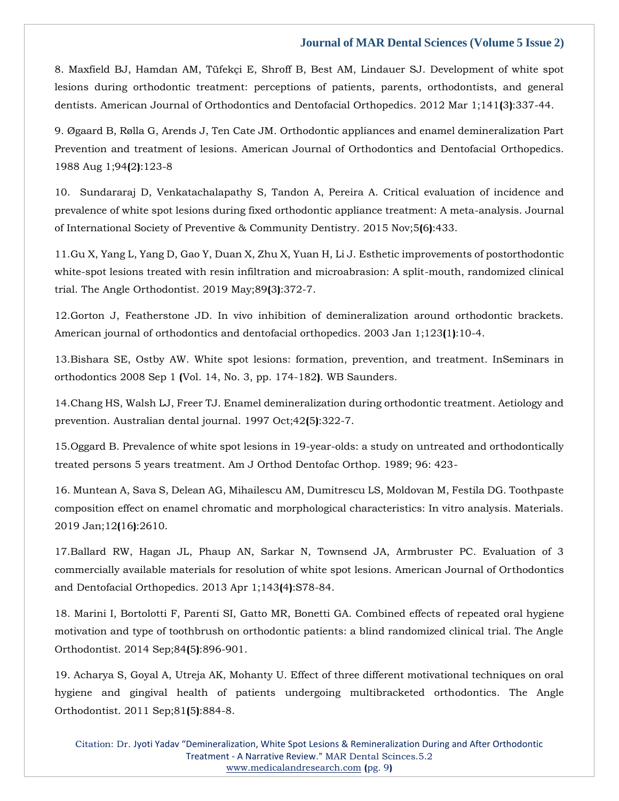[8. Maxfield BJ, Hamdan AM, Tüfekçi E, Shroff B, Best AM, Lindauer SJ. Development of white spot](https://www.google.com/search?q=Development+of+white+spot+lesions+during+orthodontic+treatment%3A+perceptions+of+patients%2C+parents%2C+orthodontists%2C+and+general+dentists&hl=en&sxsrf=APq-WBvTYTBtw77Tz8C7bw-jTJwlvb_hYQ%3A1647841901007&ei=bRI4YtIRpYqaB7T0s9AD&ved=0ahUKEwiS_J65wdb2AhUlheYKHTT6DDoQ4dUDCA4&oq=Development+of+white+spot+lesions+during+orthodontic+treatment%3A+perceptions+of+patients%2C+parents%2C+orthodontists%2C+and+general+dentists&gs_lcp=Cgdnd3Mtd2l6EAwyBwgjEOoCECcyBwgjEOoCECcyBwgjEOoCECcyBwgjEOoCECcyBwgjEOoCECcyBwgjEOoCECcyBwgjEOoCECcyBwgjEOoCECcyBwgjEOoCECcyBwgjEOoCECdKBAhBGABKBAhGGABQ6QFY6QFgtAhoAXAAeACAAQCIAQCSAQCYAQCgAQGgAQKwAQrAAQE&sclient=gws-wiz)  [lesions during orthodontic treatment: perceptions of patients, parents, orthodontists, and general](https://www.google.com/search?q=Development+of+white+spot+lesions+during+orthodontic+treatment%3A+perceptions+of+patients%2C+parents%2C+orthodontists%2C+and+general+dentists&hl=en&sxsrf=APq-WBvTYTBtw77Tz8C7bw-jTJwlvb_hYQ%3A1647841901007&ei=bRI4YtIRpYqaB7T0s9AD&ved=0ahUKEwiS_J65wdb2AhUlheYKHTT6DDoQ4dUDCA4&oq=Development+of+white+spot+lesions+during+orthodontic+treatment%3A+perceptions+of+patients%2C+parents%2C+orthodontists%2C+and+general+dentists&gs_lcp=Cgdnd3Mtd2l6EAwyBwgjEOoCECcyBwgjEOoCECcyBwgjEOoCECcyBwgjEOoCECcyBwgjEOoCECcyBwgjEOoCECcyBwgjEOoCECcyBwgjEOoCECcyBwgjEOoCECcyBwgjEOoCECdKBAhBGABKBAhGGABQ6QFY6QFgtAhoAXAAeACAAQCIAQCSAQCYAQCgAQGgAQKwAQrAAQE&sclient=gws-wiz)  [dentists. American Journal of Orthodontics and Dentofacial Orthopedics. 2012 Mar 1;141](https://www.google.com/search?q=Development+of+white+spot+lesions+during+orthodontic+treatment%3A+perceptions+of+patients%2C+parents%2C+orthodontists%2C+and+general+dentists&hl=en&sxsrf=APq-WBvTYTBtw77Tz8C7bw-jTJwlvb_hYQ%3A1647841901007&ei=bRI4YtIRpYqaB7T0s9AD&ved=0ahUKEwiS_J65wdb2AhUlheYKHTT6DDoQ4dUDCA4&oq=Development+of+white+spot+lesions+during+orthodontic+treatment%3A+perceptions+of+patients%2C+parents%2C+orthodontists%2C+and+general+dentists&gs_lcp=Cgdnd3Mtd2l6EAwyBwgjEOoCECcyBwgjEOoCECcyBwgjEOoCECcyBwgjEOoCECcyBwgjEOoCECcyBwgjEOoCECcyBwgjEOoCECcyBwgjEOoCECcyBwgjEOoCECcyBwgjEOoCECdKBAhBGABKBAhGGABQ6QFY6QFgtAhoAXAAeACAAQCIAQCSAQCYAQCgAQGgAQKwAQrAAQE&sclient=gws-wiz)**(**3**)**:337-44.

[9. Øgaard B, Rølla G, Arends J, Ten Cate JM. Orthodontic appliances and enamel demineralization Part](https://www.google.com/search?q=Orthodontic+appliances+and+enamel+demineralization+Part++Prevention+and+treatment+of+lesions&hl=en&sxsrf=APq-WBtvgjAcov7iJB21JaYWw9HhB_VY_g%3A1647841888156&ei=YBI4YqT3CIjAz7sPmYufmA4&ved=0ahUKEwikp46zwdb2AhUI4HMBHZnFB-MQ4dUDCA4&oq=Orthodontic+appliances+and+enamel+demineralization+Part++Prevention+and+treatment+of+lesions&gs_lcp=Cgdnd3Mtd2l6EAw6BwgjEOoCECdKBAhBGABKBAhGGABQkwFYkwFgzAloAXAAeACAAbkBiAG5AZIBAzAuMZgBAKABAaABArABCsABAQ&sclient=gws-wiz)  [Prevention and treatment of lesions. American Journal of Orthodontics and Dentofacial](https://www.google.com/search?q=Orthodontic+appliances+and+enamel+demineralization+Part++Prevention+and+treatment+of+lesions&hl=en&sxsrf=APq-WBtvgjAcov7iJB21JaYWw9HhB_VY_g%3A1647841888156&ei=YBI4YqT3CIjAz7sPmYufmA4&ved=0ahUKEwikp46zwdb2AhUI4HMBHZnFB-MQ4dUDCA4&oq=Orthodontic+appliances+and+enamel+demineralization+Part++Prevention+and+treatment+of+lesions&gs_lcp=Cgdnd3Mtd2l6EAw6BwgjEOoCECdKBAhBGABKBAhGGABQkwFYkwFgzAloAXAAeACAAbkBiAG5AZIBAzAuMZgBAKABAaABArABCsABAQ&sclient=gws-wiz) Orthopedics. [1988 Aug 1;94](https://www.google.com/search?q=Orthodontic+appliances+and+enamel+demineralization+Part++Prevention+and+treatment+of+lesions&hl=en&sxsrf=APq-WBtvgjAcov7iJB21JaYWw9HhB_VY_g%3A1647841888156&ei=YBI4YqT3CIjAz7sPmYufmA4&ved=0ahUKEwikp46zwdb2AhUI4HMBHZnFB-MQ4dUDCA4&oq=Orthodontic+appliances+and+enamel+demineralization+Part++Prevention+and+treatment+of+lesions&gs_lcp=Cgdnd3Mtd2l6EAw6BwgjEOoCECdKBAhBGABKBAhGGABQkwFYkwFgzAloAXAAeACAAbkBiAG5AZIBAzAuMZgBAKABAaABArABCsABAQ&sclient=gws-wiz)**(**2**)**:123-8

[10. Sundararaj D, Venkatachalapathy S, Tandon A, Pereira A. Critical evaluation of incidence and](https://www.google.com/search?q=Critical+evaluation+of+incidence+and+prevalence+of+white+spot+lesions+during+fixed+orthodontic+appliance+treatment%3A+A+meta-analysis&hl=en&sxsrf=APq-WBsE0ObKS3B5vfOO4GiX4Q8ITiYnpQ%3A1647841870726&ei=ThI4YpjzK_fZz7sPmqutaA&ved=0ahUKEwiY0uaqwdb2AhX37HMBHZpVCw0Q4dUDCA4&oq=Critical+evaluation+of+incidence+and+prevalence+of+white+spot+lesions+during+fixed+orthodontic+appliance+treatment%3A+A+meta-analysis&gs_lcp=Cgdnd3Mtd2l6EAwyBwgjEOoCECcyBwgjEOoCECcyBwgjEOoCECcyBwgjEOoCECcyBwgjEOoCECcyBwgjEOoCECcyBwgjEOoCECcyBwgjEOoCECcyBwgjEOoCECcyBwgjEOoCECdKBAhBGABKBAhGGABQQ1hDYOsHaAFwAHgAgAEAiAEAkgEAmAEAoAEBoAECsAEKwAEB&sclient=gws-wiz)  [prevalence of white spot lesions during fixed orthodontic appliance treatment: A meta-analysis. Journal](https://www.google.com/search?q=Critical+evaluation+of+incidence+and+prevalence+of+white+spot+lesions+during+fixed+orthodontic+appliance+treatment%3A+A+meta-analysis&hl=en&sxsrf=APq-WBsE0ObKS3B5vfOO4GiX4Q8ITiYnpQ%3A1647841870726&ei=ThI4YpjzK_fZz7sPmqutaA&ved=0ahUKEwiY0uaqwdb2AhX37HMBHZpVCw0Q4dUDCA4&oq=Critical+evaluation+of+incidence+and+prevalence+of+white+spot+lesions+during+fixed+orthodontic+appliance+treatment%3A+A+meta-analysis&gs_lcp=Cgdnd3Mtd2l6EAwyBwgjEOoCECcyBwgjEOoCECcyBwgjEOoCECcyBwgjEOoCECcyBwgjEOoCECcyBwgjEOoCECcyBwgjEOoCECcyBwgjEOoCECcyBwgjEOoCECcyBwgjEOoCECdKBAhBGABKBAhGGABQQ1hDYOsHaAFwAHgAgAEAiAEAkgEAmAEAoAEBoAECsAEKwAEB&sclient=gws-wiz)  [of International Society of Preventive & Community Dentistry. 2015 Nov;5](https://www.google.com/search?q=Critical+evaluation+of+incidence+and+prevalence+of+white+spot+lesions+during+fixed+orthodontic+appliance+treatment%3A+A+meta-analysis&hl=en&sxsrf=APq-WBsE0ObKS3B5vfOO4GiX4Q8ITiYnpQ%3A1647841870726&ei=ThI4YpjzK_fZz7sPmqutaA&ved=0ahUKEwiY0uaqwdb2AhX37HMBHZpVCw0Q4dUDCA4&oq=Critical+evaluation+of+incidence+and+prevalence+of+white+spot+lesions+during+fixed+orthodontic+appliance+treatment%3A+A+meta-analysis&gs_lcp=Cgdnd3Mtd2l6EAwyBwgjEOoCECcyBwgjEOoCECcyBwgjEOoCECcyBwgjEOoCECcyBwgjEOoCECcyBwgjEOoCECcyBwgjEOoCECcyBwgjEOoCECcyBwgjEOoCECcyBwgjEOoCECdKBAhBGABKBAhGGABQQ1hDYOsHaAFwAHgAgAEAiAEAkgEAmAEAoAEBoAECsAEKwAEB&sclient=gws-wiz)**(**6**)**:433.

[11.Gu X, Yang L, Yang D, Gao Y, Duan X, Zhu X, Yuan H, Li J. Esthetic improvements of postorthodontic](https://www.google.com/search?q=Esthetic+improvements+of+postorthodontic+white-spot+lesions+treated+with+resin+infiltration+and+microabrasion%3A+A+split-mouth%2C+randomized+clinical+trial.&hl=en&sxsrf=APq-WBuiRCVIaNJM7LtE-fnVYcdXdpvJqg%3A1647841852980&ei=PBI4YsiwO_vbz7sP0J6o8Ak&ved=0ahUKEwjIvquiwdb2AhX77XMBHVAPCp4Q4dUDCA4&oq=Esthetic+improvements+of+postorthodontic+white-spot+lesions+treated+with+resin+infiltration+and+microabrasion%3A+A+split-mouth%2C+randomized+clinical+trial.&gs_lcp=Cgdnd3Mtd2l6EAwyBwgjEOoCECcyBwgjEOoCECcyBwgjEOoCECcyBwgjEOoCECcyBwgjEOoCECcyBwgjEOoCECcyBwgjEOoCECcyBwgjEOoCECcyBwgjEOoCECcyBwgjEOoCECdKBAhBGABKBAhGGABQYFhgYO4LaAFwAHgAgAEAiAEAkgEAmAEAoAEBoAECsAEKwAEB&sclient=gws-wiz)  [white-spot lesions treated with resin infiltration and microabrasion: A split-mouth, randomized clinical](https://www.google.com/search?q=Esthetic+improvements+of+postorthodontic+white-spot+lesions+treated+with+resin+infiltration+and+microabrasion%3A+A+split-mouth%2C+randomized+clinical+trial.&hl=en&sxsrf=APq-WBuiRCVIaNJM7LtE-fnVYcdXdpvJqg%3A1647841852980&ei=PBI4YsiwO_vbz7sP0J6o8Ak&ved=0ahUKEwjIvquiwdb2AhX77XMBHVAPCp4Q4dUDCA4&oq=Esthetic+improvements+of+postorthodontic+white-spot+lesions+treated+with+resin+infiltration+and+microabrasion%3A+A+split-mouth%2C+randomized+clinical+trial.&gs_lcp=Cgdnd3Mtd2l6EAwyBwgjEOoCECcyBwgjEOoCECcyBwgjEOoCECcyBwgjEOoCECcyBwgjEOoCECcyBwgjEOoCECcyBwgjEOoCECcyBwgjEOoCECcyBwgjEOoCECcyBwgjEOoCECdKBAhBGABKBAhGGABQYFhgYO4LaAFwAHgAgAEAiAEAkgEAmAEAoAEBoAECsAEKwAEB&sclient=gws-wiz)  [trial. The Angle Orthodontist. 2019 May;89](https://www.google.com/search?q=Esthetic+improvements+of+postorthodontic+white-spot+lesions+treated+with+resin+infiltration+and+microabrasion%3A+A+split-mouth%2C+randomized+clinical+trial.&hl=en&sxsrf=APq-WBuiRCVIaNJM7LtE-fnVYcdXdpvJqg%3A1647841852980&ei=PBI4YsiwO_vbz7sP0J6o8Ak&ved=0ahUKEwjIvquiwdb2AhX77XMBHVAPCp4Q4dUDCA4&oq=Esthetic+improvements+of+postorthodontic+white-spot+lesions+treated+with+resin+infiltration+and+microabrasion%3A+A+split-mouth%2C+randomized+clinical+trial.&gs_lcp=Cgdnd3Mtd2l6EAwyBwgjEOoCECcyBwgjEOoCECcyBwgjEOoCECcyBwgjEOoCECcyBwgjEOoCECcyBwgjEOoCECcyBwgjEOoCECcyBwgjEOoCECcyBwgjEOoCECcyBwgjEOoCECdKBAhBGABKBAhGGABQYFhgYO4LaAFwAHgAgAEAiAEAkgEAmAEAoAEBoAECsAEKwAEB&sclient=gws-wiz)**(**3**)**:372-7.

[12.Gorton J, Featherstone JD. In vivo inhibition of demineralization around orthodontic brackets.](https://www.google.com/search?q=In+vivo+inhibition+of+demineralization+around+orthodontic+brackets.+American+journal+of+orthodontics+and+dentofacial+orthopedics&hl=en&sxsrf=APq-WBt8VwbFe_Gllfjnf8nYz29rh8CAQA%3A1647841837057&ei=LRI4YoqPA8WC4t4P6qqvoA4&ved=0ahUKEwjK2d-awdb2AhVFgdgFHWrVC-QQ4dUDCA4&oq=In+vivo+inhibition+of+demineralization+around+orthodontic+brackets.+American+journal+of+orthodontics+and+dentofacial+orthopedics&gs_lcp=Cgdnd3Mtd2l6EAwyBwgjEOoCECcyBwgjEOoCECcyBwgjEOoCECcyBwgjEOoCECcyBwgjEOoCECcyBwgjEOoCECcyBwgjEOoCECcyBwgjEOoCECcyBwgjEOoCECcyBwgjEOoCECdKBAhBGABKBAhGGABQG1gbYLsGaAFwAXgAgAEAiAEAkgEAmAEAoAEBoAECsAEKwAEB&sclient=gws-wiz)  [American journal of orthodontics and dentofacial orthopedics. 2003 Jan 1;123](https://www.google.com/search?q=In+vivo+inhibition+of+demineralization+around+orthodontic+brackets.+American+journal+of+orthodontics+and+dentofacial+orthopedics&hl=en&sxsrf=APq-WBt8VwbFe_Gllfjnf8nYz29rh8CAQA%3A1647841837057&ei=LRI4YoqPA8WC4t4P6qqvoA4&ved=0ahUKEwjK2d-awdb2AhVFgdgFHWrVC-QQ4dUDCA4&oq=In+vivo+inhibition+of+demineralization+around+orthodontic+brackets.+American+journal+of+orthodontics+and+dentofacial+orthopedics&gs_lcp=Cgdnd3Mtd2l6EAwyBwgjEOoCECcyBwgjEOoCECcyBwgjEOoCECcyBwgjEOoCECcyBwgjEOoCECcyBwgjEOoCECcyBwgjEOoCECcyBwgjEOoCECcyBwgjEOoCECcyBwgjEOoCECdKBAhBGABKBAhGGABQG1gbYLsGaAFwAXgAgAEAiAEAkgEAmAEAoAEBoAECsAEKwAEB&sclient=gws-wiz)**(**1**)**:10-4.

[13.Bishara SE, Ostby AW. White spot lesions: formation, prevention, and treatment. InSeminars in](https://www.google.com/search?q=White+spot+lesions%3A+formation%2C+prevention%2C+and+treatment&hl=en&sxsrf=APq-WBskX2zQNOT-0XJq8jRY932xLpCmjg%3A1647841821220&ei=HRI4YoyGDcHA3LUP7JGl4Ak&ved=0ahUKEwjMiJmTwdb2AhVBILcAHexICZwQ4dUDCA4&oq=White+spot+lesions%3A+formation%2C+prevention%2C+and+treatment&gs_lcp=Cgdnd3Mtd2l6EAwyBQgAEIAEOgcIIxDqAhAnSgQIQRgASgQIRhgAUMYCWMYCYMkHaAFwAHgAgAG1AYgBtQGSAQMwLjGYAQCgAQGgAQKwAQrAAQE&sclient=gws-wiz)  orthodontics 2008 Sep 1 **(**[Vol. 14, No. 3, pp. 174-182](https://www.google.com/search?q=White+spot+lesions%3A+formation%2C+prevention%2C+and+treatment&hl=en&sxsrf=APq-WBskX2zQNOT-0XJq8jRY932xLpCmjg%3A1647841821220&ei=HRI4YoyGDcHA3LUP7JGl4Ak&ved=0ahUKEwjMiJmTwdb2AhVBILcAHexICZwQ4dUDCA4&oq=White+spot+lesions%3A+formation%2C+prevention%2C+and+treatment&gs_lcp=Cgdnd3Mtd2l6EAwyBQgAEIAEOgcIIxDqAhAnSgQIQRgASgQIRhgAUMYCWMYCYMkHaAFwAHgAgAG1AYgBtQGSAQMwLjGYAQCgAQGgAQKwAQrAAQE&sclient=gws-wiz)**)**. WB Saunders.

[14.Chang HS, Walsh LJ, Freer TJ. Enamel demineralization during orthodontic treatment. Aetiology and](https://www.google.com/search?q=Enamel+demineralization+during+orthodontic+treatment.+Aetiology+and+prevention.+Australian+dental+journal.&hl=en&sxsrf=APq-WBttOzLv04Y81H2LhYCPnVwY0uGjEA%3A1647841807825&ei=DxI4Yqr9McjC3LUP7-mfyAg&ved=0ahUKEwjqwOeMwdb2AhVIIbcAHe_0B4kQ4dUDCA4&oq=Enamel+demineralization+during+orthodontic+treatment.+Aetiology+and+prevention.+Australian+dental+journal.&gs_lcp=Cgdnd3Mtd2l6EAwyBwgjEOoCECcyBwgjEOoCECcyBwgjEOoCECcyBwgjEOoCECcyBwgjEOoCECcyBwgjEOoCECcyBwgjEOoCECcyBwgjEOoCECcyBwgjEOoCECcyBwgjEOoCECdKBAhBGABKBAhGGABQOVg5YK4MaAFwAHgAgAEAiAEAkgEAmAEAoAEBoAECsAEKwAEB&sclient=gws-wiz)  [prevention. Australian dental journal. 1997 Oct;42](https://www.google.com/search?q=Enamel+demineralization+during+orthodontic+treatment.+Aetiology+and+prevention.+Australian+dental+journal.&hl=en&sxsrf=APq-WBttOzLv04Y81H2LhYCPnVwY0uGjEA%3A1647841807825&ei=DxI4Yqr9McjC3LUP7-mfyAg&ved=0ahUKEwjqwOeMwdb2AhVIIbcAHe_0B4kQ4dUDCA4&oq=Enamel+demineralization+during+orthodontic+treatment.+Aetiology+and+prevention.+Australian+dental+journal.&gs_lcp=Cgdnd3Mtd2l6EAwyBwgjEOoCECcyBwgjEOoCECcyBwgjEOoCECcyBwgjEOoCECcyBwgjEOoCECcyBwgjEOoCECcyBwgjEOoCECcyBwgjEOoCECcyBwgjEOoCECcyBwgjEOoCECdKBAhBGABKBAhGGABQOVg5YK4MaAFwAHgAgAEAiAEAkgEAmAEAoAEBoAECsAEKwAEB&sclient=gws-wiz)**(**5**)**:322-7.

[15.Oggard B. Prevalence of white spot lesions in 19-year-olds: a study on untreated and orthodontically](https://www.google.com/search?q=Prevalence+of+white+spot+lesions+in+19-year-olds%3A+a+study+on+untreated+and+orthodontically+treated+persons+5+years+treatment.+&hl=en&sxsrf=APq-WBvS_L4fcOPCxaknIgSxarJ-93NypQ%3A1647841788846&ei=_BE4YuyeM5_Wz7sPlNeO2AI&ved=0ahUKEwjsjOGDwdb2AhUf63MBHZSrAysQ4dUDCA4&oq=Prevalence+of+white+spot+lesions+in+19-year-olds%3A+a+study+on+untreated+and+orthodontically+treated+persons+5+years+treatment.+&gs_lcp=Cgdnd3Mtd2l6EAwyBwgjEOoCECcyBwgjEOoCECcyBwgjEOoCECcyBwgjEOoCECcyBwgjEOoCECcyBwgjEOoCECcyBwgjEOoCECcyBwgjEOoCECcyBwgjEOoCECcyBwgjEOoCECdKBAhBGABKBAhGGABQLFgsYJIIaAFwAXgAgAEAiAEAkgEAmAEAoAEBoAECsAEKwAEB&sclient=gws-wiz)  [treated persons 5 years treatment. Am J Orthod Dentofac Orthop. 1989; 96: 423-](https://www.google.com/search?q=Prevalence+of+white+spot+lesions+in+19-year-olds%3A+a+study+on+untreated+and+orthodontically+treated+persons+5+years+treatment.+&hl=en&sxsrf=APq-WBvS_L4fcOPCxaknIgSxarJ-93NypQ%3A1647841788846&ei=_BE4YuyeM5_Wz7sPlNeO2AI&ved=0ahUKEwjsjOGDwdb2AhUf63MBHZSrAysQ4dUDCA4&oq=Prevalence+of+white+spot+lesions+in+19-year-olds%3A+a+study+on+untreated+and+orthodontically+treated+persons+5+years+treatment.+&gs_lcp=Cgdnd3Mtd2l6EAwyBwgjEOoCECcyBwgjEOoCECcyBwgjEOoCECcyBwgjEOoCECcyBwgjEOoCECcyBwgjEOoCECcyBwgjEOoCECcyBwgjEOoCECcyBwgjEOoCECcyBwgjEOoCECdKBAhBGABKBAhGGABQLFgsYJIIaAFwAXgAgAEAiAEAkgEAmAEAoAEBoAECsAEKwAEB&sclient=gws-wiz)

[16. Muntean A, Sava S, Delean AG, Mihailescu AM, Dumitrescu LS, Moldovan M, Festila DG. Toothpaste](https://www.google.com/search?q=Toothpaste+composition+effect+on+enamel+chromatic+and+morphological+characteristics%3A+In+vitro+analysis.+Materials&hl=en&sxsrf=APq-WBsLVqEZMZSQFPK8AuCgylicATN6hQ%3A1647841773986&ei=7RE4YqHjO7fiz7sPx8eHuAE&ved=0ahUKEwjhjdb8wNb2AhU38XMBHcfjARcQ4dUDCA4&oq=Toothpaste+composition+effect+on+enamel+chromatic+and+morphological+characteristics%3A+In+vitro+analysis.+Materials&gs_lcp=Cgdnd3Mtd2l6EAwyBwgjEOoCECcyBwgjEOoCECcyBwgjEOoCECcyBwgjEOoCECcyBwgjEOoCECcyBwgjEOoCECcyBwgjEOoCECcyBwgjEOoCECcyBwgjEOoCECcyBwgjEOoCECdKBAhBGABKBAhGGABQ5wJY5wJgxQhoAXAAeACAAQCIAQCSAQCYAQCgAQGgAQKwAQrAAQE&sclient=gws-wiz)  [composition effect on enamel chromatic and morphological characteristics: In vitro analysis. Materials.](https://www.google.com/search?q=Toothpaste+composition+effect+on+enamel+chromatic+and+morphological+characteristics%3A+In+vitro+analysis.+Materials&hl=en&sxsrf=APq-WBsLVqEZMZSQFPK8AuCgylicATN6hQ%3A1647841773986&ei=7RE4YqHjO7fiz7sPx8eHuAE&ved=0ahUKEwjhjdb8wNb2AhU38XMBHcfjARcQ4dUDCA4&oq=Toothpaste+composition+effect+on+enamel+chromatic+and+morphological+characteristics%3A+In+vitro+analysis.+Materials&gs_lcp=Cgdnd3Mtd2l6EAwyBwgjEOoCECcyBwgjEOoCECcyBwgjEOoCECcyBwgjEOoCECcyBwgjEOoCECcyBwgjEOoCECcyBwgjEOoCECcyBwgjEOoCECcyBwgjEOoCECcyBwgjEOoCECdKBAhBGABKBAhGGABQ5wJY5wJgxQhoAXAAeACAAQCIAQCSAQCYAQCgAQGgAQKwAQrAAQE&sclient=gws-wiz)  [2019 Jan;12](https://www.google.com/search?q=Toothpaste+composition+effect+on+enamel+chromatic+and+morphological+characteristics%3A+In+vitro+analysis.+Materials&hl=en&sxsrf=APq-WBsLVqEZMZSQFPK8AuCgylicATN6hQ%3A1647841773986&ei=7RE4YqHjO7fiz7sPx8eHuAE&ved=0ahUKEwjhjdb8wNb2AhU38XMBHcfjARcQ4dUDCA4&oq=Toothpaste+composition+effect+on+enamel+chromatic+and+morphological+characteristics%3A+In+vitro+analysis.+Materials&gs_lcp=Cgdnd3Mtd2l6EAwyBwgjEOoCECcyBwgjEOoCECcyBwgjEOoCECcyBwgjEOoCECcyBwgjEOoCECcyBwgjEOoCECcyBwgjEOoCECcyBwgjEOoCECcyBwgjEOoCECcyBwgjEOoCECdKBAhBGABKBAhGGABQ5wJY5wJgxQhoAXAAeACAAQCIAQCSAQCYAQCgAQGgAQKwAQrAAQE&sclient=gws-wiz)**(**16**)**:2610.

[17.Ballard RW, Hagan JL, Phaup AN, Sarkar N, Townsend JA, Armbruster PC. Evaluation of 3](https://www.google.com/search?q=Evaluation+of+3+commercially+available+materials+for+resolution+of+white+spot+lesions.&hl=en&sxsrf=APq-WBv08vbYtIIqvVO9V3Nmb75ahKt2tQ%3A1647841759856&ei=3xE4YrzvM-zBz7sP29-60Aw&ved=0ahUKEwj82vf1wNb2AhXs4HMBHduvDsoQ4dUDCA4&oq=Evaluation+of+3+commercially+available+materials+for+resolution+of+white+spot+lesions.&gs_lcp=Cgdnd3Mtd2l6EAw6BwgjEOoCECdKBAhBGABKBAhGGABQ1AJY1AJg9gVoAXAAeACAAagBiAGoAZIBAzAuMZgBAKABAaABArABCsABAQ&sclient=gws-wiz)  [commercially available materials for resolution of white spot lesions. American Journal of Orthodontics](https://www.google.com/search?q=Evaluation+of+3+commercially+available+materials+for+resolution+of+white+spot+lesions.&hl=en&sxsrf=APq-WBv08vbYtIIqvVO9V3Nmb75ahKt2tQ%3A1647841759856&ei=3xE4YrzvM-zBz7sP29-60Aw&ved=0ahUKEwj82vf1wNb2AhXs4HMBHduvDsoQ4dUDCA4&oq=Evaluation+of+3+commercially+available+materials+for+resolution+of+white+spot+lesions.&gs_lcp=Cgdnd3Mtd2l6EAw6BwgjEOoCECdKBAhBGABKBAhGGABQ1AJY1AJg9gVoAXAAeACAAagBiAGoAZIBAzAuMZgBAKABAaABArABCsABAQ&sclient=gws-wiz)  [and Dentofacial Orthopedics. 2013 Apr 1;143](https://www.google.com/search?q=Evaluation+of+3+commercially+available+materials+for+resolution+of+white+spot+lesions.&hl=en&sxsrf=APq-WBv08vbYtIIqvVO9V3Nmb75ahKt2tQ%3A1647841759856&ei=3xE4YrzvM-zBz7sP29-60Aw&ved=0ahUKEwj82vf1wNb2AhXs4HMBHduvDsoQ4dUDCA4&oq=Evaluation+of+3+commercially+available+materials+for+resolution+of+white+spot+lesions.&gs_lcp=Cgdnd3Mtd2l6EAw6BwgjEOoCECdKBAhBGABKBAhGGABQ1AJY1AJg9gVoAXAAeACAAagBiAGoAZIBAzAuMZgBAKABAaABArABCsABAQ&sclient=gws-wiz)**(**4**)**:S78-84.

[18. Marini I, Bortolotti F, Parenti SI, Gatto MR, Bonetti GA. Combined effects of repeated oral hygiene](https://www.google.com/search?q=Combined+effects+of+repeated+oral+hygiene+motivation+and+type+of+toothbrush+on+orthodontic+patients%3A+a+blind+randomized+clinical+trial&hl=en&sxsrf=APq-WBvNTTEc0vpPGTL1F3ZGV0znSvJx1A%3A1647841743781&ei=zxE4YoSlL_DWz7sPh6i-uAI&ved=0ahUKEwjEyKLuwNb2AhVw63MBHQeUDycQ4dUDCA4&oq=Combined+effects+of+repeated+oral+hygiene+motivation+and+type+of+toothbrush+on+orthodontic+patients%3A+a+blind+randomized+clinical+trial&gs_lcp=Cgdnd3Mtd2l6EAwyBwgjEOoCECcyBwgjEOoCECcyBwgjEOoCECcyBwgjEOoCECcyBwgjEOoCECcyBwgjEOoCECcyBwgjEOoCECcyBwgjEOoCECcyBwgjEOoCECcyBwgjEOoCECdKBAhBGABKBAhGGABQ2AJY2AJgnAhoAXAAeACAAQCIAQCSAQCYAQCgAQGgAQKwAQrAAQE&sclient=gws-wiz)  [motivation and type of toothbrush on orthodontic patients: a blind randomized clinical trial. The Angle](https://www.google.com/search?q=Combined+effects+of+repeated+oral+hygiene+motivation+and+type+of+toothbrush+on+orthodontic+patients%3A+a+blind+randomized+clinical+trial&hl=en&sxsrf=APq-WBvNTTEc0vpPGTL1F3ZGV0znSvJx1A%3A1647841743781&ei=zxE4YoSlL_DWz7sPh6i-uAI&ved=0ahUKEwjEyKLuwNb2AhVw63MBHQeUDycQ4dUDCA4&oq=Combined+effects+of+repeated+oral+hygiene+motivation+and+type+of+toothbrush+on+orthodontic+patients%3A+a+blind+randomized+clinical+trial&gs_lcp=Cgdnd3Mtd2l6EAwyBwgjEOoCECcyBwgjEOoCECcyBwgjEOoCECcyBwgjEOoCECcyBwgjEOoCECcyBwgjEOoCECcyBwgjEOoCECcyBwgjEOoCECcyBwgjEOoCECcyBwgjEOoCECdKBAhBGABKBAhGGABQ2AJY2AJgnAhoAXAAeACAAQCIAQCSAQCYAQCgAQGgAQKwAQrAAQE&sclient=gws-wiz)  [Orthodontist. 2014 Sep;84](https://www.google.com/search?q=Combined+effects+of+repeated+oral+hygiene+motivation+and+type+of+toothbrush+on+orthodontic+patients%3A+a+blind+randomized+clinical+trial&hl=en&sxsrf=APq-WBvNTTEc0vpPGTL1F3ZGV0znSvJx1A%3A1647841743781&ei=zxE4YoSlL_DWz7sPh6i-uAI&ved=0ahUKEwjEyKLuwNb2AhVw63MBHQeUDycQ4dUDCA4&oq=Combined+effects+of+repeated+oral+hygiene+motivation+and+type+of+toothbrush+on+orthodontic+patients%3A+a+blind+randomized+clinical+trial&gs_lcp=Cgdnd3Mtd2l6EAwyBwgjEOoCECcyBwgjEOoCECcyBwgjEOoCECcyBwgjEOoCECcyBwgjEOoCECcyBwgjEOoCECcyBwgjEOoCECcyBwgjEOoCECcyBwgjEOoCECcyBwgjEOoCECdKBAhBGABKBAhGGABQ2AJY2AJgnAhoAXAAeACAAQCIAQCSAQCYAQCgAQGgAQKwAQrAAQE&sclient=gws-wiz)**(**5**)**:896-901.

[19. Acharya S, Goyal A, Utreja AK, Mohanty U. Effect of three different motivational techniques on oral](https://www.google.com/search?q=Effect+of+three+different+motivational+techniques+on+oral+hygiene+and+gingival+health+of+patients+undergoing+multibracketed+orthodontics&hl=en&sxsrf=APq-WBs3MjwTcFtN-2mT5IuqeiUyIOxCCw%3A1647841730094&ei=whE4Yu-pBdbjz7sPh622mAk&ved=0ahUKEwjvkt_nwNb2AhXW8XMBHYeWDZMQ4dUDCA4&oq=Effect+of+three+different+motivational+techniques+on+oral+hygiene+and+gingival+health+of+patients+undergoing+multibracketed+orthodontics&gs_lcp=Cgdnd3Mtd2l6EAwyBwgjEOoCECcyBwgjEOoCECcyBwgjEOoCECcyBwgjEOoCECcyBwgjEOoCECcyBwgjEOoCECcyBwgjEOoCECcyBwgjEOoCECcyBwgjEOoCECcyBwgjEOoCECdKBAhBGABKBAhGGABQvwJYvwJg-QdoAXAAeACAAQCIAQCSAQCYAQCgAQGgAQKwAQrAAQE&sclient=gws-wiz)  [hygiene and gingival health of patients undergoing multibracketed orthodontics. The Angle](https://www.google.com/search?q=Effect+of+three+different+motivational+techniques+on+oral+hygiene+and+gingival+health+of+patients+undergoing+multibracketed+orthodontics&hl=en&sxsrf=APq-WBs3MjwTcFtN-2mT5IuqeiUyIOxCCw%3A1647841730094&ei=whE4Yu-pBdbjz7sPh622mAk&ved=0ahUKEwjvkt_nwNb2AhXW8XMBHYeWDZMQ4dUDCA4&oq=Effect+of+three+different+motivational+techniques+on+oral+hygiene+and+gingival+health+of+patients+undergoing+multibracketed+orthodontics&gs_lcp=Cgdnd3Mtd2l6EAwyBwgjEOoCECcyBwgjEOoCECcyBwgjEOoCECcyBwgjEOoCECcyBwgjEOoCECcyBwgjEOoCECcyBwgjEOoCECcyBwgjEOoCECcyBwgjEOoCECcyBwgjEOoCECdKBAhBGABKBAhGGABQvwJYvwJg-QdoAXAAeACAAQCIAQCSAQCYAQCgAQGgAQKwAQrAAQE&sclient=gws-wiz)  [Orthodontist. 2011 Sep;81](https://www.google.com/search?q=Effect+of+three+different+motivational+techniques+on+oral+hygiene+and+gingival+health+of+patients+undergoing+multibracketed+orthodontics&hl=en&sxsrf=APq-WBs3MjwTcFtN-2mT5IuqeiUyIOxCCw%3A1647841730094&ei=whE4Yu-pBdbjz7sPh622mAk&ved=0ahUKEwjvkt_nwNb2AhXW8XMBHYeWDZMQ4dUDCA4&oq=Effect+of+three+different+motivational+techniques+on+oral+hygiene+and+gingival+health+of+patients+undergoing+multibracketed+orthodontics&gs_lcp=Cgdnd3Mtd2l6EAwyBwgjEOoCECcyBwgjEOoCECcyBwgjEOoCECcyBwgjEOoCECcyBwgjEOoCECcyBwgjEOoCECcyBwgjEOoCECcyBwgjEOoCECcyBwgjEOoCECcyBwgjEOoCECdKBAhBGABKBAhGGABQvwJYvwJg-QdoAXAAeACAAQCIAQCSAQCYAQCgAQGgAQKwAQrAAQE&sclient=gws-wiz)**(**5**)**:884-8.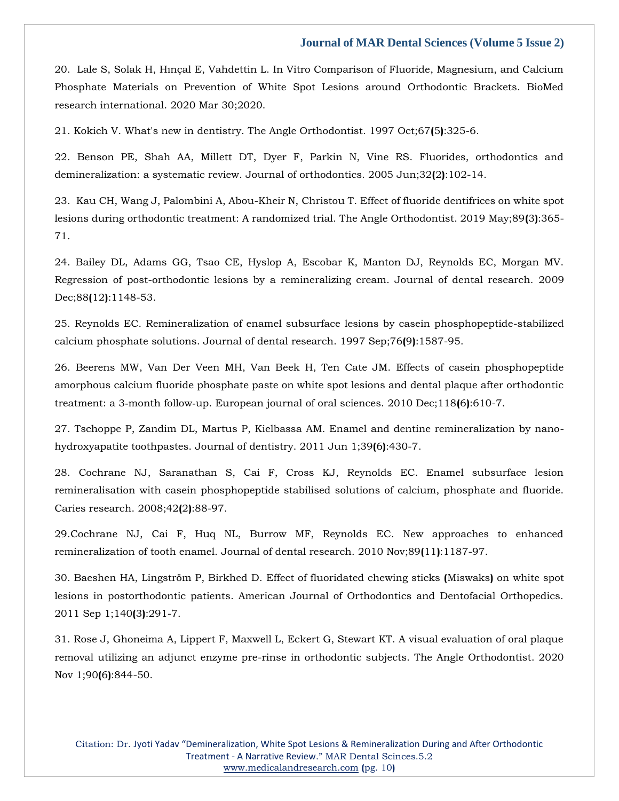20. Lale [S, Solak H, Hınçal E, Vahdettin L. In Vitro Comparison of Fluoride, Magnesium, and Calcium](https://www.google.com/search?q=In+Vitro+Comparison+of+Fluoride%2C+Magnesium%2C+and+Calcium+Phosphate+Materials+on+Prevention+of+White+Spot+Lesions+around+Orthodontic+Brackets.&hl=en&sxsrf=APq-WBtKD_J_8mf7C4nWB5KPnG8mK_S4VA%3A1647841707961&ei=qxE4YtKoOtvWz7sPhvOaiAQ&ved=0ahUKEwiSqpjdwNb2AhVb63MBHYa5BkEQ4dUDCA4&oq=In+Vitro+Comparison+of+Fluoride%2C+Magnesium%2C+and+Calcium+Phosphate+Materials+on+Prevention+of+White+Spot+Lesions+around+Orthodontic+Brackets.&gs_lcp=Cgdnd3Mtd2l6EAwyBwgjEOoCECcyBwgjEOoCECcyBwgjEOoCECcyBwgjEOoCECcyBwgjEOoCECcyBwgjEOoCECcyBwgjEOoCECcyBwgjEOoCECcyBwgjEOoCECcyBwgjEOoCECdKBAhBGABKBAhGGABQrgJYrgJgvwdoAXABeACAAQCIAQCSAQCYAQCgAQGgAQKwAQrAAQE&sclient=gws-wiz)  [Phosphate Materials on Prevention of White Spot Lesions around Orthodontic Brackets. BioMed](https://www.google.com/search?q=In+Vitro+Comparison+of+Fluoride%2C+Magnesium%2C+and+Calcium+Phosphate+Materials+on+Prevention+of+White+Spot+Lesions+around+Orthodontic+Brackets.&hl=en&sxsrf=APq-WBtKD_J_8mf7C4nWB5KPnG8mK_S4VA%3A1647841707961&ei=qxE4YtKoOtvWz7sPhvOaiAQ&ved=0ahUKEwiSqpjdwNb2AhVb63MBHYa5BkEQ4dUDCA4&oq=In+Vitro+Comparison+of+Fluoride%2C+Magnesium%2C+and+Calcium+Phosphate+Materials+on+Prevention+of+White+Spot+Lesions+around+Orthodontic+Brackets.&gs_lcp=Cgdnd3Mtd2l6EAwyBwgjEOoCECcyBwgjEOoCECcyBwgjEOoCECcyBwgjEOoCECcyBwgjEOoCECcyBwgjEOoCECcyBwgjEOoCECcyBwgjEOoCECcyBwgjEOoCECcyBwgjEOoCECdKBAhBGABKBAhGGABQrgJYrgJgvwdoAXABeACAAQCIAQCSAQCYAQCgAQGgAQKwAQrAAQE&sclient=gws-wiz)  [research international. 2020 Mar 30;2020.](https://www.google.com/search?q=In+Vitro+Comparison+of+Fluoride%2C+Magnesium%2C+and+Calcium+Phosphate+Materials+on+Prevention+of+White+Spot+Lesions+around+Orthodontic+Brackets.&hl=en&sxsrf=APq-WBtKD_J_8mf7C4nWB5KPnG8mK_S4VA%3A1647841707961&ei=qxE4YtKoOtvWz7sPhvOaiAQ&ved=0ahUKEwiSqpjdwNb2AhVb63MBHYa5BkEQ4dUDCA4&oq=In+Vitro+Comparison+of+Fluoride%2C+Magnesium%2C+and+Calcium+Phosphate+Materials+on+Prevention+of+White+Spot+Lesions+around+Orthodontic+Brackets.&gs_lcp=Cgdnd3Mtd2l6EAwyBwgjEOoCECcyBwgjEOoCECcyBwgjEOoCECcyBwgjEOoCECcyBwgjEOoCECcyBwgjEOoCECcyBwgjEOoCECcyBwgjEOoCECcyBwgjEOoCECcyBwgjEOoCECdKBAhBGABKBAhGGABQrgJYrgJgvwdoAXABeACAAQCIAQCSAQCYAQCgAQGgAQKwAQrAAQE&sclient=gws-wiz)

21. [Kokich V. What's new in dentistry. The Angle Orthodontist. 1997 Oct;67](https://www.google.com/search?q=What%27s+new+in+dentistry.+The+Angle+Orthodontist.+&hl=en&sxsrf=APq-WBum6G7QMlJTNwvRSxr8PjPC4Tzbmw%3A1647841683407&ei=kxE4YqDGGPPEz7sPw_ys0AI&ved=0ahUKEwjg273RwNb2AhVz4nMBHUM-CyoQ4dUDCA4&oq=What%27s+new+in+dentistry.+The+Angle+Orthodontist.+&gs_lcp=Cgdnd3Mtd2l6EAw6BwgjEOoCECdKBAhBGABKBAhGGABQiwFYiwFgzwhoAXABeACAAe0BiAHtAZIBAzItMZgBAKABAaABArABCsABAQ&sclient=gws-wiz)**(**5**)**:325-6.

22. [Benson PE, Shah AA, Millett DT, Dyer F, Parkin N, Vine RS. Fluorides, orthodontics and](https://www.google.com/search?q=orthodontics+and+demineralization%3A+a+systematic+review.+&hl=en&sxsrf=APq-WBt4K-6Tnb2Q4GV3jrv-BJcnwfDZzw%3A1647841666804&ei=ghE4YqzBMI-o4t4P5OmSkAU&ved=0ahUKEwisisjJwNb2AhUPlNgFHeS0BFIQ4dUDCA4&oq=orthodontics+and+demineralization%3A+a+systematic+review.+&gs_lcp=Cgdnd3Mtd2l6EAwyBggAEBYQHjoHCCMQ6gIQJ0oECEEYAEoECEYYAFBqWGpg_AhoAXABeACAAagBiAGoAZIBAzAuMZgBAKABAaABArABCsABAQ&sclient=gws-wiz)  [demineralization: a systematic review. Journal of orthodontics. 2005 Jun;32](https://www.google.com/search?q=orthodontics+and+demineralization%3A+a+systematic+review.+&hl=en&sxsrf=APq-WBt4K-6Tnb2Q4GV3jrv-BJcnwfDZzw%3A1647841666804&ei=ghE4YqzBMI-o4t4P5OmSkAU&ved=0ahUKEwisisjJwNb2AhUPlNgFHeS0BFIQ4dUDCA4&oq=orthodontics+and+demineralization%3A+a+systematic+review.+&gs_lcp=Cgdnd3Mtd2l6EAwyBggAEBYQHjoHCCMQ6gIQJ0oECEEYAEoECEYYAFBqWGpg_AhoAXABeACAAagBiAGoAZIBAzAuMZgBAKABAaABArABCsABAQ&sclient=gws-wiz)**(**2**)**:102-14.

[23. Kau CH, Wang J, Palombini A, Abou-Kheir N, Christou T. Effect of fluoride dentifrices on white spot](https://www.google.com/search?q=Effect+of+fluoride+dentifrices+on+white+spot+lesions+during+orthodontic+treatment%3A+A+randomized+trial.+&hl=en&sxsrf=APq-WBtw_n7p0N9EVq6BJibe9PAm5CXVKQ%3A1647841645892&ei=bRE4YqiMNpHfz7sPgKKdoAc&ved=0ahUKEwjo9su_wNb2AhWR73MBHQBRB3QQ4dUDCA4&oq=Effect+of+fluoride+dentifrices+on+white+spot+lesions+during+orthodontic+treatment%3A+A+randomized+trial.+&gs_lcp=Cgdnd3Mtd2l6EAwyBwgjEOoCECcyBwgjEOoCECcyBwgjEOoCECcyBwgjEOoCECcyBwgjEOoCECcyBwgjEOoCECcyBwgjEOoCECcyBwgjEOoCECcyBwgjEOoCECcyBwgjEOoCECdKBAhBGABKBAhGGABQ9AFY9AFgwQdoAXAAeACAAQCIAQCSAQCYAQCgAQGgAQKwAQrAAQE&sclient=gws-wiz)  [lesions during orthodontic treatment: A randomized trial. The Angle Orthodontist. 2019 May;89](https://www.google.com/search?q=Effect+of+fluoride+dentifrices+on+white+spot+lesions+during+orthodontic+treatment%3A+A+randomized+trial.+&hl=en&sxsrf=APq-WBtw_n7p0N9EVq6BJibe9PAm5CXVKQ%3A1647841645892&ei=bRE4YqiMNpHfz7sPgKKdoAc&ved=0ahUKEwjo9su_wNb2AhWR73MBHQBRB3QQ4dUDCA4&oq=Effect+of+fluoride+dentifrices+on+white+spot+lesions+during+orthodontic+treatment%3A+A+randomized+trial.+&gs_lcp=Cgdnd3Mtd2l6EAwyBwgjEOoCECcyBwgjEOoCECcyBwgjEOoCECcyBwgjEOoCECcyBwgjEOoCECcyBwgjEOoCECcyBwgjEOoCECcyBwgjEOoCECcyBwgjEOoCECcyBwgjEOoCECdKBAhBGABKBAhGGABQ9AFY9AFgwQdoAXAAeACAAQCIAQCSAQCYAQCgAQGgAQKwAQrAAQE&sclient=gws-wiz)**(**3**)**:365- [71.](https://www.google.com/search?q=Effect+of+fluoride+dentifrices+on+white+spot+lesions+during+orthodontic+treatment%3A+A+randomized+trial.+&hl=en&sxsrf=APq-WBtw_n7p0N9EVq6BJibe9PAm5CXVKQ%3A1647841645892&ei=bRE4YqiMNpHfz7sPgKKdoAc&ved=0ahUKEwjo9su_wNb2AhWR73MBHQBRB3QQ4dUDCA4&oq=Effect+of+fluoride+dentifrices+on+white+spot+lesions+during+orthodontic+treatment%3A+A+randomized+trial.+&gs_lcp=Cgdnd3Mtd2l6EAwyBwgjEOoCECcyBwgjEOoCECcyBwgjEOoCECcyBwgjEOoCECcyBwgjEOoCECcyBwgjEOoCECcyBwgjEOoCECcyBwgjEOoCECcyBwgjEOoCECcyBwgjEOoCECdKBAhBGABKBAhGGABQ9AFY9AFgwQdoAXAAeACAAQCIAQCSAQCYAQCgAQGgAQKwAQrAAQE&sclient=gws-wiz)

24. [Bailey DL, Adams GG, Tsao CE, Hyslop A, Escobar K, Manton DJ, Reynolds EC, Morgan MV.](https://www.google.com/search?q=Regression+of+post-orthodontic+lesions+by+a+remineralizing+cream&hl=en&sxsrf=APq-WBvaIpdb0BJp9_0xc7O6cl15s_ollA%3A1647841631179&ei=XxE4YuXHCseE4t4PhcygwAo&ved=0ahUKEwil88m4wNb2AhVHgtgFHQUmCKgQ4dUDCA4&oq=Regression+of+post-orthodontic+lesions+by+a+remineralizing+cream&gs_lcp=Cgdnd3Mtd2l6EAwyBggAEBYQHjoHCCMQ6gIQJ0oECEEYAEoECEYYAFDYAVjYAWDSCWgBcAB4AIABqAGIAagBkgEDMC4xmAEAoAEBoAECsAEKwAEB&sclient=gws-wiz)  [Regression of post-orthodontic lesions by a remineralizing cream. Journal of dental research. 2009](https://www.google.com/search?q=Regression+of+post-orthodontic+lesions+by+a+remineralizing+cream&hl=en&sxsrf=APq-WBvaIpdb0BJp9_0xc7O6cl15s_ollA%3A1647841631179&ei=XxE4YuXHCseE4t4PhcygwAo&ved=0ahUKEwil88m4wNb2AhVHgtgFHQUmCKgQ4dUDCA4&oq=Regression+of+post-orthodontic+lesions+by+a+remineralizing+cream&gs_lcp=Cgdnd3Mtd2l6EAwyBggAEBYQHjoHCCMQ6gIQJ0oECEEYAEoECEYYAFDYAVjYAWDSCWgBcAB4AIABqAGIAagBkgEDMC4xmAEAoAEBoAECsAEKwAEB&sclient=gws-wiz)  Dec;88**(**12**)**[:1148-53.](https://www.google.com/search?q=Regression+of+post-orthodontic+lesions+by+a+remineralizing+cream&hl=en&sxsrf=APq-WBvaIpdb0BJp9_0xc7O6cl15s_ollA%3A1647841631179&ei=XxE4YuXHCseE4t4PhcygwAo&ved=0ahUKEwil88m4wNb2AhVHgtgFHQUmCKgQ4dUDCA4&oq=Regression+of+post-orthodontic+lesions+by+a+remineralizing+cream&gs_lcp=Cgdnd3Mtd2l6EAwyBggAEBYQHjoHCCMQ6gIQJ0oECEEYAEoECEYYAFDYAVjYAWDSCWgBcAB4AIABqAGIAagBkgEDMC4xmAEAoAEBoAECsAEKwAEB&sclient=gws-wiz)

25. [Reynolds EC. Remineralization of enamel subsurface lesions by casein phosphopeptide-stabilized](https://www.google.com/search?q=Remineralization+of+enamel+subsurface+lesions+by+casein+phosphopeptide-stabilized+calcium+phosphate+solutions.+&hl=en&sxsrf=APq-WBtN_3AWlZEKzBjWrvfQHzywxRrk3Q%3A1647841608845&ei=SBE4YvmWM43az7sP1ri6SA&ved=0ahUKEwj52vatwNb2AhUN7XMBHVacDgkQ4dUDCA4&oq=Remineralization+of+enamel+subsurface+lesions+by+casein+phosphopeptide-stabilized+calcium+phosphate+solutions.+&gs_lcp=Cgdnd3Mtd2l6EAwyBwgjEOoCECcyBwgjEOoCECcyBwgjEOoCECcyBwgjEOoCECcyBwgjEOoCECcyBwgjEOoCECcyBwgjEOoCECcyBwgjEOoCECcyBwgjEOoCECcyBwgjEOoCECdKBAhBGABKBAhGGABQhgFYhgFgqAhoAXAAeACAAQCIAQCSAQCYAQCgAQGgAQKwAQrAAQE&sclient=gws-wiz)  [calcium phosphate solutions. Journal of dental research. 1997 Sep;76](https://www.google.com/search?q=Remineralization+of+enamel+subsurface+lesions+by+casein+phosphopeptide-stabilized+calcium+phosphate+solutions.+&hl=en&sxsrf=APq-WBtN_3AWlZEKzBjWrvfQHzywxRrk3Q%3A1647841608845&ei=SBE4YvmWM43az7sP1ri6SA&ved=0ahUKEwj52vatwNb2AhUN7XMBHVacDgkQ4dUDCA4&oq=Remineralization+of+enamel+subsurface+lesions+by+casein+phosphopeptide-stabilized+calcium+phosphate+solutions.+&gs_lcp=Cgdnd3Mtd2l6EAwyBwgjEOoCECcyBwgjEOoCECcyBwgjEOoCECcyBwgjEOoCECcyBwgjEOoCECcyBwgjEOoCECcyBwgjEOoCECcyBwgjEOoCECcyBwgjEOoCECcyBwgjEOoCECdKBAhBGABKBAhGGABQhgFYhgFgqAhoAXAAeACAAQCIAQCSAQCYAQCgAQGgAQKwAQrAAQE&sclient=gws-wiz)**(**9**)**:1587-95.

26. [Beerens MW, Van Der Veen MH, Van Beek H, Ten Cate JM. Effects of casein phosphopeptide](https://www.google.com/search?q=Effects+of+casein+phosphopeptide+amorphous+calcium+fluoride+phosphate+paste+on+white+spot+lesions+and+dental+plaque+after+orthodontic+treatment%3A+a+3%E2%80%90month+follow%E2%80%90up.+European+journal+of+oral+sciences&hl=en&sxsrf=APq-WBtWfl1aPDwTQSNryXHWh6XKcoJxaA%3A1647841590803&ei=NhE4YvXSMISLmgettZCgBg&ved=0ahUKEwj1xamlwNb2AhWEheYKHa0aBGQQ4dUDCA4&oq=Effects+of+casein+phosphopeptide+amorphous+calcium+fluoride+phosphate+paste+on+white+spot+lesions+and+dental+plaque+after+orthodontic+treatment%3A+a+3%E2%80%90month+follow%E2%80%90up.+European+journal+of+oral+sciences&gs_lcp=Cgdnd3Mtd2l6EAwyBwgjEOoCECcyBwgjEOoCECcyBwgjEOoCECcyBwgjEOoCECcyBwgjEOoCECcyBwgjEOoCECcyBwgjEOoCECcyBwgjEOoCECcyBwgjEOoCECcyBwgjEOoCECdKBAhBGABKBAhGGABQIFggYIEEaAFwAXgAgAEAiAEAkgEAmAEAoAEBoAECsAEKwAEB&sclient=gws-wiz)  amorphous calcium [fluoride phosphate paste on white spot lesions and dental plaque after orthodontic](https://www.google.com/search?q=Effects+of+casein+phosphopeptide+amorphous+calcium+fluoride+phosphate+paste+on+white+spot+lesions+and+dental+plaque+after+orthodontic+treatment%3A+a+3%E2%80%90month+follow%E2%80%90up.+European+journal+of+oral+sciences&hl=en&sxsrf=APq-WBtWfl1aPDwTQSNryXHWh6XKcoJxaA%3A1647841590803&ei=NhE4YvXSMISLmgettZCgBg&ved=0ahUKEwj1xamlwNb2AhWEheYKHa0aBGQQ4dUDCA4&oq=Effects+of+casein+phosphopeptide+amorphous+calcium+fluoride+phosphate+paste+on+white+spot+lesions+and+dental+plaque+after+orthodontic+treatment%3A+a+3%E2%80%90month+follow%E2%80%90up.+European+journal+of+oral+sciences&gs_lcp=Cgdnd3Mtd2l6EAwyBwgjEOoCECcyBwgjEOoCECcyBwgjEOoCECcyBwgjEOoCECcyBwgjEOoCECcyBwgjEOoCECcyBwgjEOoCECcyBwgjEOoCECcyBwgjEOoCECcyBwgjEOoCECdKBAhBGABKBAhGGABQIFggYIEEaAFwAXgAgAEAiAEAkgEAmAEAoAEBoAECsAEKwAEB&sclient=gws-wiz)  treatment: a 3‐month follow‐[up. European journal of oral sciences. 2010 Dec;118](https://www.google.com/search?q=Effects+of+casein+phosphopeptide+amorphous+calcium+fluoride+phosphate+paste+on+white+spot+lesions+and+dental+plaque+after+orthodontic+treatment%3A+a+3%E2%80%90month+follow%E2%80%90up.+European+journal+of+oral+sciences&hl=en&sxsrf=APq-WBtWfl1aPDwTQSNryXHWh6XKcoJxaA%3A1647841590803&ei=NhE4YvXSMISLmgettZCgBg&ved=0ahUKEwj1xamlwNb2AhWEheYKHa0aBGQQ4dUDCA4&oq=Effects+of+casein+phosphopeptide+amorphous+calcium+fluoride+phosphate+paste+on+white+spot+lesions+and+dental+plaque+after+orthodontic+treatment%3A+a+3%E2%80%90month+follow%E2%80%90up.+European+journal+of+oral+sciences&gs_lcp=Cgdnd3Mtd2l6EAwyBwgjEOoCECcyBwgjEOoCECcyBwgjEOoCECcyBwgjEOoCECcyBwgjEOoCECcyBwgjEOoCECcyBwgjEOoCECcyBwgjEOoCECcyBwgjEOoCECcyBwgjEOoCECdKBAhBGABKBAhGGABQIFggYIEEaAFwAXgAgAEAiAEAkgEAmAEAoAEBoAECsAEKwAEB&sclient=gws-wiz)**(**6**)**:610-7.

27. [Tschoppe P, Zandim DL, Martus P, Kielbassa AM. Enamel and dentine remineralization by nano](https://www.google.com/search?q=Enamel+and+dentine+remineralization+by+nano-hydroxyapatite+toothpastes.&hl=en&sxsrf=APq-WBvHE9y2JlTihPT1_kH--7oUHPOZQw%3A1647841578158&ei=KhE4YqGhCYKa4t4P_YuZoA8&ved=0ahUKEwih3qWfwNb2AhUCjdgFHf1FBvQQ4dUDCA4&oq=Enamel+and+dentine+remineralization+by+nano-hydroxyapatite+toothpastes.&gs_lcp=Cgdnd3Mtd2l6EAwyBggAEBYQHjoHCCMQ6gIQJ0oECEEYAEoECEYYAFD5AVj5AWCRCmgBcAB4AIABpAGIAaQBkgEDMC4xmAEAoAEBoAECsAEKwAEB&sclient=gws-wiz)[hydroxyapatite toothpastes. Journal of dentistry. 2011 Jun 1;39](https://www.google.com/search?q=Enamel+and+dentine+remineralization+by+nano-hydroxyapatite+toothpastes.&hl=en&sxsrf=APq-WBvHE9y2JlTihPT1_kH--7oUHPOZQw%3A1647841578158&ei=KhE4YqGhCYKa4t4P_YuZoA8&ved=0ahUKEwih3qWfwNb2AhUCjdgFHf1FBvQQ4dUDCA4&oq=Enamel+and+dentine+remineralization+by+nano-hydroxyapatite+toothpastes.&gs_lcp=Cgdnd3Mtd2l6EAwyBggAEBYQHjoHCCMQ6gIQJ0oECEEYAEoECEYYAFD5AVj5AWCRCmgBcAB4AIABpAGIAaQBkgEDMC4xmAEAoAEBoAECsAEKwAEB&sclient=gws-wiz)**(**6**)**:430-7.

28. [Cochrane NJ, Saranathan S, Cai F, Cross KJ, Reynolds EC. Enamel subsurface lesion](https://www.google.com/search?q=Enamel+subsurface+lesion+remineralisation+with+casein+phosphopeptide+stabilised+solutions+of+calcium%2C+phosphate+and+fluoride&hl=en&sxsrf=APq-WBuE1R4duHRPVs7iwS6KgEnUwZx63w%3A1647841563042&ei=GxE4YtacAtjhz7sPr62AwAQ&ved=0ahUKEwiWlouYwNb2AhXY8HMBHa8WAEgQ4dUDCA4&oq=Enamel+subsurface+lesion+remineralisation+with+casein+phosphopeptide+stabilised+solutions+of+calcium%2C+phosphate+and+fluoride&gs_lcp=Cgdnd3Mtd2l6EAwyBwgjEOoCECcyBwgjEOoCECcyBwgjEOoCECcyBwgjEOoCECcyBwgjEOoCECcyBwgjEOoCECcyBwgjEOoCECcyBwgjEOoCECcyBwgjEOoCECcyBwgjEOoCECdKBAhBGABKBAhGGABQHFgcYJgJaAFwAXgAgAEAiAEAkgEAmAEAoAEBoAECsAEKwAEB&sclient=gws-wiz)  [remineralisation with casein phosphopeptide stabilised solutions of calcium, phosphate and fluoride.](https://www.google.com/search?q=Enamel+subsurface+lesion+remineralisation+with+casein+phosphopeptide+stabilised+solutions+of+calcium%2C+phosphate+and+fluoride&hl=en&sxsrf=APq-WBuE1R4duHRPVs7iwS6KgEnUwZx63w%3A1647841563042&ei=GxE4YtacAtjhz7sPr62AwAQ&ved=0ahUKEwiWlouYwNb2AhXY8HMBHa8WAEgQ4dUDCA4&oq=Enamel+subsurface+lesion+remineralisation+with+casein+phosphopeptide+stabilised+solutions+of+calcium%2C+phosphate+and+fluoride&gs_lcp=Cgdnd3Mtd2l6EAwyBwgjEOoCECcyBwgjEOoCECcyBwgjEOoCECcyBwgjEOoCECcyBwgjEOoCECcyBwgjEOoCECcyBwgjEOoCECcyBwgjEOoCECcyBwgjEOoCECcyBwgjEOoCECdKBAhBGABKBAhGGABQHFgcYJgJaAFwAXgAgAEAiAEAkgEAmAEAoAEBoAECsAEKwAEB&sclient=gws-wiz)  [Caries research. 2008;42](https://www.google.com/search?q=Enamel+subsurface+lesion+remineralisation+with+casein+phosphopeptide+stabilised+solutions+of+calcium%2C+phosphate+and+fluoride&hl=en&sxsrf=APq-WBuE1R4duHRPVs7iwS6KgEnUwZx63w%3A1647841563042&ei=GxE4YtacAtjhz7sPr62AwAQ&ved=0ahUKEwiWlouYwNb2AhXY8HMBHa8WAEgQ4dUDCA4&oq=Enamel+subsurface+lesion+remineralisation+with+casein+phosphopeptide+stabilised+solutions+of+calcium%2C+phosphate+and+fluoride&gs_lcp=Cgdnd3Mtd2l6EAwyBwgjEOoCECcyBwgjEOoCECcyBwgjEOoCECcyBwgjEOoCECcyBwgjEOoCECcyBwgjEOoCECcyBwgjEOoCECcyBwgjEOoCECcyBwgjEOoCECcyBwgjEOoCECdKBAhBGABKBAhGGABQHFgcYJgJaAFwAXgAgAEAiAEAkgEAmAEAoAEBoAECsAEKwAEB&sclient=gws-wiz)**(**2**)**:88-97.

[29.Cochrane NJ, Cai F, Huq NL, Burrow MF, Reynolds EC. New approaches to enhanced](https://www.google.com/search?q=New+approaches+to+enhanced+remineralization+of+tooth+enamel.&hl=en&sxsrf=APq-WBtFMv3F4Dc4_u2FsMVAbZzDNxBbpA%3A1647841548269&ei=DBE4YozpD8Pcz7sPyMSt-AQ&ved=0ahUKEwiMn4WRwNb2AhVD7nMBHUhiC08Q4dUDCA4&oq=New+approaches+to+enhanced+remineralization+of+tooth+enamel.&gs_lcp=Cgdnd3Mtd2l6EAwyBggAEBYQHjoHCCMQ6gIQJ0oECEEYAEoECEYYAFAYWBhgkAZoAXAAeACAAfEBiAHxAZIBAzItMZgBAKABAaABArABCsABAQ&sclient=gws-wiz)  [remineralization of tooth enamel. Journal of dental research. 2010 Nov;89](https://www.google.com/search?q=New+approaches+to+enhanced+remineralization+of+tooth+enamel.&hl=en&sxsrf=APq-WBtFMv3F4Dc4_u2FsMVAbZzDNxBbpA%3A1647841548269&ei=DBE4YozpD8Pcz7sPyMSt-AQ&ved=0ahUKEwiMn4WRwNb2AhVD7nMBHUhiC08Q4dUDCA4&oq=New+approaches+to+enhanced+remineralization+of+tooth+enamel.&gs_lcp=Cgdnd3Mtd2l6EAwyBggAEBYQHjoHCCMQ6gIQJ0oECEEYAEoECEYYAFAYWBhgkAZoAXAAeACAAfEBiAHxAZIBAzItMZgBAKABAaABArABCsABAQ&sclient=gws-wiz)**(**11**)**:1187-97.

[30. Baeshen HA, Lingström P, Birkhed D.](https://www.google.com/search?q=Effect+of+fluoridated+chewing+sticks+%28Miswaks%29+on+white+spot+lesions+in+postorthodontic+patients&hl=en&sxsrf=APq-WBuW_dvV_wr3TKiNBJgK9HPZfS4QsA%3A1647841489410&ei=0RA4Yp_JGNbgz7sP6oC0-Ag&ved=0ahUKEwjf9fz0v9b2AhVW8HMBHWoADY8Q4dUDCA4&oq=Effect+of+fluoridated+chewing+sticks+%28Miswaks%29+on+white+spot+lesions+in+postorthodontic+patients&gs_lcp=Cgdnd3Mtd2l6EAw6BwgjEOoCECdKBAhBGABKBAhGGABQrAhYrAhgxw1oAnAAeACAAbkBiAG5AZIBAzAuMZgBAKABAaABArABCsABAQ&sclient=gws-wiz) Effect of fluoridated chewing sticks **(**Miswaks**)** on white spot [lesions in postorthodontic patients. American Journal of Orthodontics and Dentofacial Orthopedics.](https://www.google.com/search?q=Effect+of+fluoridated+chewing+sticks+%28Miswaks%29+on+white+spot+lesions+in+postorthodontic+patients&hl=en&sxsrf=APq-WBuW_dvV_wr3TKiNBJgK9HPZfS4QsA%3A1647841489410&ei=0RA4Yp_JGNbgz7sP6oC0-Ag&ved=0ahUKEwjf9fz0v9b2AhVW8HMBHWoADY8Q4dUDCA4&oq=Effect+of+fluoridated+chewing+sticks+%28Miswaks%29+on+white+spot+lesions+in+postorthodontic+patients&gs_lcp=Cgdnd3Mtd2l6EAw6BwgjEOoCECdKBAhBGABKBAhGGABQrAhYrAhgxw1oAnAAeACAAbkBiAG5AZIBAzAuMZgBAKABAaABArABCsABAQ&sclient=gws-wiz)  [2011 Sep 1;140](https://www.google.com/search?q=Effect+of+fluoridated+chewing+sticks+%28Miswaks%29+on+white+spot+lesions+in+postorthodontic+patients&hl=en&sxsrf=APq-WBuW_dvV_wr3TKiNBJgK9HPZfS4QsA%3A1647841489410&ei=0RA4Yp_JGNbgz7sP6oC0-Ag&ved=0ahUKEwjf9fz0v9b2AhVW8HMBHWoADY8Q4dUDCA4&oq=Effect+of+fluoridated+chewing+sticks+%28Miswaks%29+on+white+spot+lesions+in+postorthodontic+patients&gs_lcp=Cgdnd3Mtd2l6EAw6BwgjEOoCECdKBAhBGABKBAhGGABQrAhYrAhgxw1oAnAAeACAAbkBiAG5AZIBAzAuMZgBAKABAaABArABCsABAQ&sclient=gws-wiz)**(**3**)**:291-7.

[31. Rose J, Ghoneima A, Lippert F, Maxwell L, Eckert G, Stewart KT. A visual evaluation of oral plaque](https://www.google.com/search?q=A+visual+evaluation+of+oral+plaque+removal+utilizing+an+adjunct+enzyme+pre-rinse+in+orthodontic+subjects&hl=en&sxsrf=APq-WBsqykHi7rqVpG9IJOZXsqPCyug52Q%3A1647841473326&ei=wRA4YvXFE83tz7sPzuShyA8&ved=0ahUKEwi1qqftv9b2AhXN9nMBHU5yCPkQ4dUDCA4&oq=A+visual+evaluation+of+oral+plaque+removal+utilizing+an+adjunct+enzyme+pre-rinse+in+orthodontic+subjects&gs_lcp=Cgdnd3Mtd2l6EAwyBwgjEOoCECcyBwgjEOoCECcyBwgjEOoCECcyBwgjEOoCECcyBwgjEOoCECcyBwgjEOoCECcyBwgjEOoCECcyBwgjEOoCECcyBwgjEOoCECcyBwgjEOoCECdKBAhBGABKBAhGGABQcFhwYMIGaAFwAHgAgAEAiAEAkgEAmAEAoAEBoAECsAEKwAEB&sclient=gws-wiz)  [removal utilizing an adjunct enzyme pre-rinse in orthodontic subjects. The Angle Orthodontist. 2020](https://www.google.com/search?q=A+visual+evaluation+of+oral+plaque+removal+utilizing+an+adjunct+enzyme+pre-rinse+in+orthodontic+subjects&hl=en&sxsrf=APq-WBsqykHi7rqVpG9IJOZXsqPCyug52Q%3A1647841473326&ei=wRA4YvXFE83tz7sPzuShyA8&ved=0ahUKEwi1qqftv9b2AhXN9nMBHU5yCPkQ4dUDCA4&oq=A+visual+evaluation+of+oral+plaque+removal+utilizing+an+adjunct+enzyme+pre-rinse+in+orthodontic+subjects&gs_lcp=Cgdnd3Mtd2l6EAwyBwgjEOoCECcyBwgjEOoCECcyBwgjEOoCECcyBwgjEOoCECcyBwgjEOoCECcyBwgjEOoCECcyBwgjEOoCECcyBwgjEOoCECcyBwgjEOoCECcyBwgjEOoCECdKBAhBGABKBAhGGABQcFhwYMIGaAFwAHgAgAEAiAEAkgEAmAEAoAEBoAECsAEKwAEB&sclient=gws-wiz)  [Nov 1;90](https://www.google.com/search?q=A+visual+evaluation+of+oral+plaque+removal+utilizing+an+adjunct+enzyme+pre-rinse+in+orthodontic+subjects&hl=en&sxsrf=APq-WBsqykHi7rqVpG9IJOZXsqPCyug52Q%3A1647841473326&ei=wRA4YvXFE83tz7sPzuShyA8&ved=0ahUKEwi1qqftv9b2AhXN9nMBHU5yCPkQ4dUDCA4&oq=A+visual+evaluation+of+oral+plaque+removal+utilizing+an+adjunct+enzyme+pre-rinse+in+orthodontic+subjects&gs_lcp=Cgdnd3Mtd2l6EAwyBwgjEOoCECcyBwgjEOoCECcyBwgjEOoCECcyBwgjEOoCECcyBwgjEOoCECcyBwgjEOoCECcyBwgjEOoCECcyBwgjEOoCECcyBwgjEOoCECcyBwgjEOoCECdKBAhBGABKBAhGGABQcFhwYMIGaAFwAHgAgAEAiAEAkgEAmAEAoAEBoAECsAEKwAEB&sclient=gws-wiz)**(**6**)**:844-50.